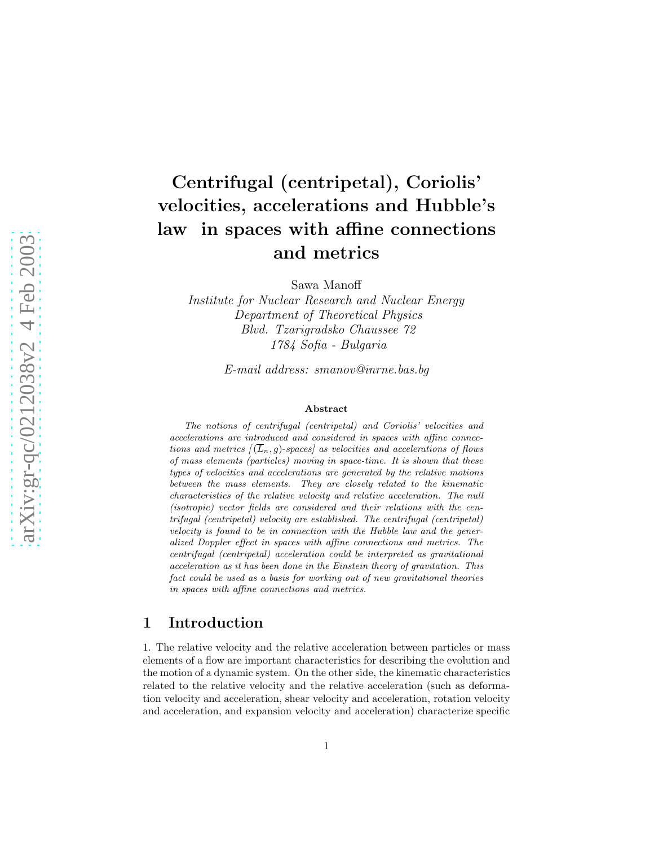# Centrifugal (centripetal), Coriolis' velocities, accelerations and Hubble's law in spaces with affine connections and metrics

Sawa Manoff

*Institute for Nuclear Research and Nuclear Energy Department of Theoretical Physics Blvd. Tzarigradsko Chaussee 72 1784 Sofia - Bulgaria*

*E-mail address: smanov@inrne.bas.bg*

#### Abstract

The notions of centrifugal (centripetal) and Coriolis' velocities and accelerations are introduced and considered in spaces with affine connections and metrics  $[(\overline{L}_n, g)$ -spaces as velocities and accelerations of flows of mass elements (particles) moving in space-time. It is shown that these types of velocities and accelerations are generated by the relative motions between the mass elements. They are closely related to the kinematic characteristics of the relative velocity and relative acceleration. The null (isotropic) vector fields are considered and their relations with the centrifugal (centripetal) velocity are established. The centrifugal (centripetal) velocity is found to be in connection with the Hubble law and the generalized Doppler effect in spaces with affine connections and metrics. The centrifugal (centripetal) acceleration could be interpreted as gravitational acceleration as it has been done in the Einstein theory of gravitation. This fact could be used as a basis for working out of new gravitational theories in spaces with affine connections and metrics.

### 1 Introduction

1. The relative velocity and the relative acceleration between particles or mass elements of a flow are important characteristics for describing the evolution and the motion of a dynamic system. On the other side, the kinematic characteristics related to the relative velocity and the relative acceleration (such as deformation velocity and acceleration, shear velocity and acceleration, rotation velocity and acceleration, and expansion velocity and acceleration) characterize specific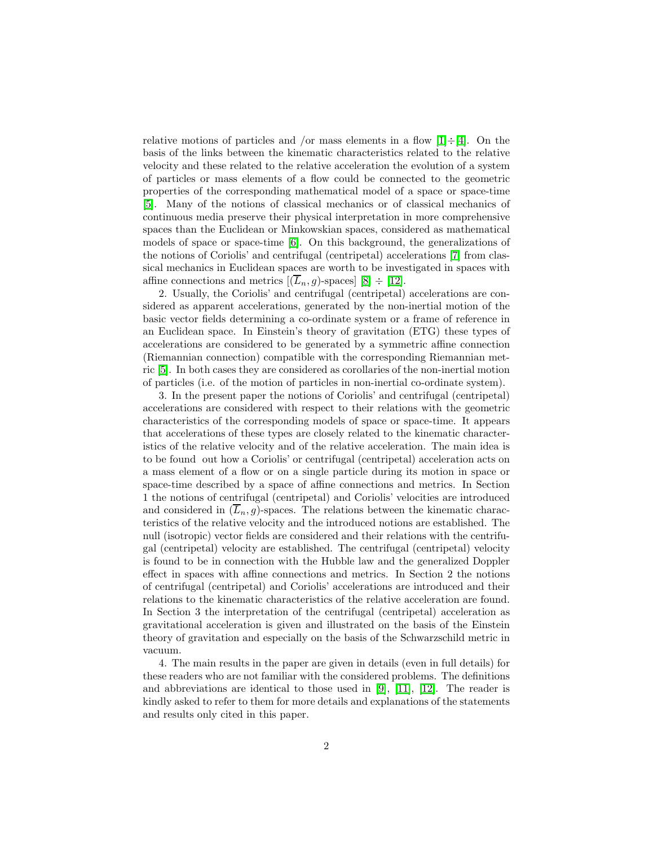relative motions of particles and /or mass elements in a flow  $[1]\div[4]$  $[1]\div[4]$ . On the basis of the links between the kinematic characteristics related to the relative velocity and these related to the relative acceleration the evolution of a system of particles or mass elements of a flow could be connected to the geometric properties of the corresponding mathematical model of a space or space-time [\[5\]](#page-27-2). Many of the notions of classical mechanics or of classical mechanics of continuous media preserve their physical interpretation in more comprehensive spaces than the Euclidean or Minkowskian spaces, considered as mathematical models of space or space-time [\[6\]](#page-27-3). On this background, the generalizations of the notions of Coriolis' and centrifugal (centripetal) accelerations [\[7\]](#page-27-4) from classical mechanics in Euclidean spaces are worth to be investigated in spaces with affine connections and metrics  $[(\overline{L}_n, g)$ -spaces  $[8] \div [12]$  $[8] \div [12]$ .

2. Usually, the Coriolis' and centrifugal (centripetal) accelerations are considered as apparent accelerations, generated by the non-inertial motion of the basic vector fields determining a co-ordinate system or a frame of reference in an Euclidean space. In Einstein's theory of gravitation (ETG) these types of accelerations are considered to be generated by a symmetric affine connection (Riemannian connection) compatible with the corresponding Riemannian metric [\[5\]](#page-27-2). In both cases they are considered as corollaries of the non-inertial motion of particles (i.e. of the motion of particles in non-inertial co-ordinate system).

3. In the present paper the notions of Coriolis' and centrifugal (centripetal) accelerations are considered with respect to their relations with the geometric characteristics of the corresponding models of space or space-time. It appears that accelerations of these types are closely related to the kinematic characteristics of the relative velocity and of the relative acceleration. The main idea is to be found out how a Coriolis' or centrifugal (centripetal) acceleration acts on a mass element of a flow or on a single particle during its motion in space or space-time described by a space of affine connections and metrics. In Section 1 the notions of centrifugal (centripetal) and Coriolis' velocities are introduced and considered in  $(\overline{L}_n, g)$ -spaces. The relations between the kinematic characteristics of the relative velocity and the introduced notions are established. The null (isotropic) vector fields are considered and their relations with the centrifugal (centripetal) velocity are established. The centrifugal (centripetal) velocity is found to be in connection with the Hubble law and the generalized Doppler effect in spaces with affine connections and metrics. In Section 2 the notions of centrifugal (centripetal) and Coriolis' accelerations are introduced and their relations to the kinematic characteristics of the relative acceleration are found. In Section 3 the interpretation of the centrifugal (centripetal) acceleration as gravitational acceleration is given and illustrated on the basis of the Einstein theory of gravitation and especially on the basis of the Schwarzschild metric in vacuum.

4. The main results in the paper are given in details (even in full details) for these readers who are not familiar with the considered problems. The definitions and abbreviations are identical to those used in [\[9\]](#page-27-7), [\[11\]](#page-27-8), [\[12\]](#page-27-6). The reader is kindly asked to refer to them for more details and explanations of the statements and results only cited in this paper.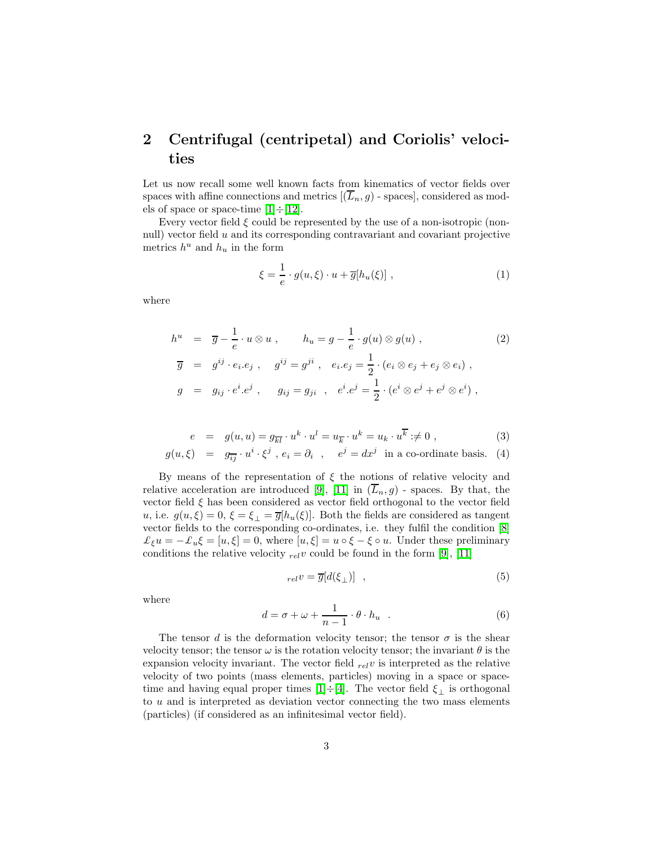## 2 Centrifugal (centripetal) and Coriolis' velocities

Let us now recall some well known facts from kinematics of vector fields over spaces with affine connections and metrics  $[(\overline{L}_n, g)$  - spaces], considered as models of space or space-time  $[1] \div [12]$  $[1] \div [12]$ .

Every vector field  $\xi$  could be represented by the use of a non-isotropic (nonnull) vector field u and its corresponding contravariant and covariant projective metrics  $h^u$  and  $h_u$  in the form

$$
\xi = \frac{1}{e} \cdot g(u, \xi) \cdot u + \overline{g}[h_u(\xi)], \qquad (1)
$$

where

$$
h^{u} = \overline{g} - \frac{1}{e} \cdot u \otimes u , \qquad h_{u} = g - \frac{1}{e} \cdot g(u) \otimes g(u) ,
$$
  
\n
$$
\overline{g} = g^{ij} \cdot e_{i}.e_{j} , \qquad g^{ij} = g^{ji} , \qquad e_{i}.e_{j} = \frac{1}{2} \cdot (e_{i} \otimes e_{j} + e_{j} \otimes e_{i}) ,
$$
  
\n
$$
g = g_{ij} \cdot e^{i}.e^{j} , \qquad g_{ij} = g_{ji} , \qquad e^{i}.e^{j} = \frac{1}{2} \cdot (e^{i} \otimes e^{j} + e^{j} \otimes e^{i}) ,
$$
\n
$$
(2)
$$

$$
e = g(u, u) = g_{\overline{k}l} \cdot u^k \cdot u^l = u_{\overline{k}} \cdot u^k = u_k \cdot u^{\overline{k}} \neq 0 , \qquad (3)
$$

$$
g(u,\xi) = g_{\overline{i}\overline{j}} \cdot u^i \cdot \xi^j, e_i = \partial_i, e^j = dx^j \text{ in a co-ordinate basis. } (4)
$$

By means of the representation of  $\xi$  the notions of relative velocity and relative acceleration are introduced [\[9\]](#page-27-7), [\[11\]](#page-27-8) in  $(\overline{L}_n, g)$  - spaces. By that, the vector field  $\xi$  has been considered as vector field orthogonal to the vector field u, i.e.  $g(u,\xi) = 0, \xi = \xi_{\perp} = \overline{g}[h_u(\xi)]$ . Both the fields are considered as tangent vector fields to the corresponding co-ordinates, i.e. they fulfil the condition [\[8\]](#page-27-5)  $\mathcal{L}_{\xi}u = -\mathcal{L}_u\xi = [u, \xi] = 0$ , where  $[u, \xi] = u \circ \xi - \xi \circ u$ . Under these preliminary conditions the relative velocity  $_{rel}v$  could be found in the form [\[9\]](#page-27-7), [\[11\]](#page-27-8)

$$
_{rel}v = \overline{g}[d(\xi_{\perp})] \quad , \tag{5}
$$

where

$$
d = \sigma + \omega + \frac{1}{n-1} \cdot \theta \cdot h_u \quad . \tag{6}
$$

The tensor d is the deformation velocity tensor; the tensor  $\sigma$  is the shear velocity tensor; the tensor  $\omega$  is the rotation velocity tensor; the invariant  $\theta$  is the expansion velocity invariant. The vector field  $_{rel}v$  is interpreted as the relative velocity of two points (mass elements, particles) moving in a space or space-time and having equal proper times [\[1\]](#page-27-0)÷[\[4\]](#page-27-1). The vector field  $\xi_{\perp}$  is orthogonal to  $u$  and is interpreted as deviation vector connecting the two mass elements (particles) (if considered as an infinitesimal vector field).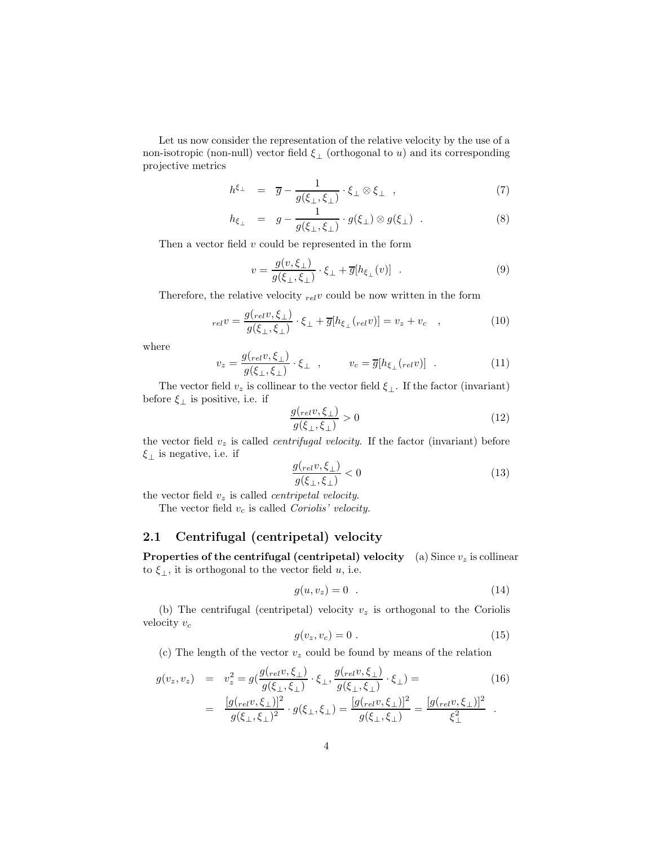Let us now consider the representation of the relative velocity by the use of a non-isotropic (non-null) vector field  $\xi_{\perp}$  (orthogonal to u) and its corresponding projective metrics

$$
h^{\xi_{\perp}} = \overline{g} - \frac{1}{g(\xi_{\perp}, \xi_{\perp})} \cdot \xi_{\perp} \otimes \xi_{\perp} , \qquad (7)
$$

$$
h_{\xi_{\perp}} = g - \frac{1}{g(\xi_{\perp}, \xi_{\perp})} \cdot g(\xi_{\perp}) \otimes g(\xi_{\perp}) . \tag{8}
$$

Then a vector field  $v$  could be represented in the form

$$
v = \frac{g(v, \xi_{\perp})}{g(\xi_{\perp}, \xi_{\perp})} \cdot \xi_{\perp} + \overline{g}[h_{\xi_{\perp}}(v)] \quad . \tag{9}
$$

Therefore, the relative velocity  $_{rel}v$  could be now written in the form

$$
_{rel}v = \frac{g(_{rel}v, \xi_{\perp})}{g(\xi_{\perp}, \xi_{\perp})} \cdot \xi_{\perp} + \overline{g}[h_{\xi_{\perp}}(_{rel}v)] = v_z + v_c \quad , \tag{10}
$$

where

$$
v_z = \frac{g(r_{el}v, \xi_\perp)}{g(\xi_\perp, \xi_\perp)} \cdot \xi_\perp , \qquad v_c = \overline{g}[h_{\xi_\perp}(r_{el}v)] . \qquad (11)
$$

The vector field  $v_z$  is collinear to the vector field  $\xi_{\perp}$ . If the factor (invariant) before  $\xi_{\perp}$  is positive, i.e. if

$$
\frac{g(r_{el}v,\xi_{\perp})}{g(\xi_{\perp},\xi_{\perp})} > 0
$$
\n(12)

the vector field  $v<sub>z</sub>$  is called *centrifugal velocity*. If the factor (invariant) before  $\xi_{\perp}$  is negative, i.e. if

$$
\frac{g(e_{t}v,\xi_{\perp})}{g(\xi_{\perp},\xi_{\perp})} < 0\tag{13}
$$

the vector field  $v_z$  is called *centripetal velocity*.

The vector field  $v_c$  is called Coriolis' velocity.

#### 2.1 Centrifugal (centripetal) velocity

**Properties of the centrifugal (centripetal) velocity** (a) Since  $v_z$  is collinear to  $\xi_{\perp}$ , it is orthogonal to the vector field u, i.e.

$$
g(u, v_z) = 0 \tag{14}
$$

(b) The centrifugal (centripetal) velocity  $v<sub>z</sub>$  is orthogonal to the Coriolis velocity  $v_c$ 

$$
g(v_z, v_c) = 0 \tag{15}
$$

(c) The length of the vector  $v_z$  could be found by means of the relation

$$
g(v_z, v_z) = v_z^2 = g(\frac{g(r_{el}v, \xi_\perp)}{g(\xi_\perp, \xi_\perp)} \cdot \xi_\perp, \frac{g(r_{el}v, \xi_\perp)}{g(\xi_\perp, \xi_\perp)} \cdot \xi_\perp) =
$$
\n
$$
= \frac{[g(r_{el}v, \xi_\perp)]^2}{g(\xi_\perp, \xi_\perp)^2} \cdot g(\xi_\perp, \xi_\perp) = \frac{[g(r_{el}v, \xi_\perp)]^2}{g(\xi_\perp, \xi_\perp)} = \frac{[g(r_{el}v, \xi_\perp)]^2}{\xi_\perp^2}.
$$
\n(16)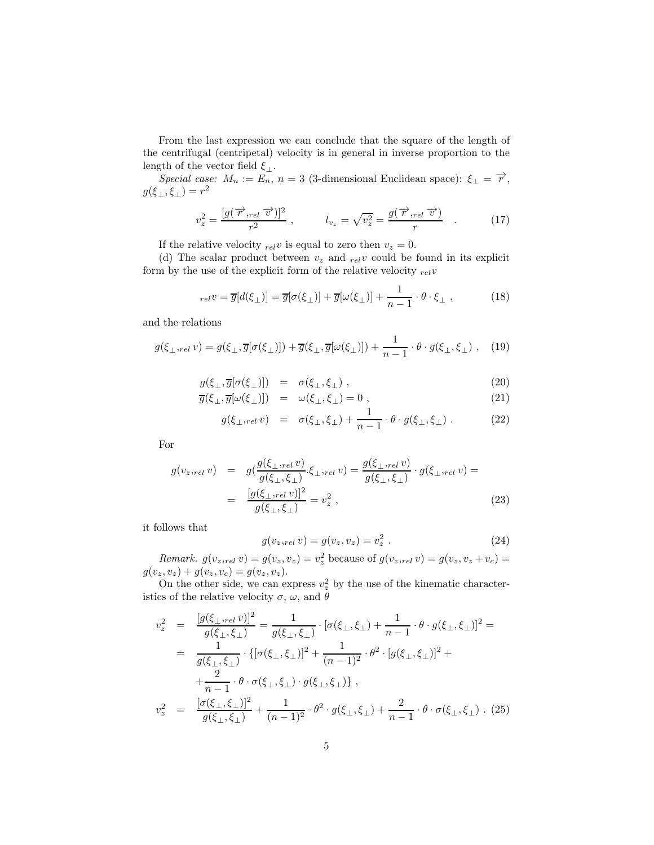From the last expression we can conclude that the square of the length of the centrifugal (centripetal) velocity is in general in inverse proportion to the length of the vector field  $\xi_{\perp}$ .

Special case:  $M_n := \overline{E_n}$ ,  $n = 3$  (3-dimensional Euclidean space):  $\xi_{\perp} = \overrightarrow{r}$ ,  $g(\xi_\perp,\xi_\perp)=r^2$ 

$$
v_z^2 = \frac{[g(\overrightarrow{r},_{rel}\overrightarrow{v})]^2}{r^2} , \qquad l_{v_z} = \sqrt{v_z^2} = \frac{g(\overrightarrow{r},_{rel}\overrightarrow{v})}{r} . \qquad (17)
$$

If the relative velocity  $_{rel}v$  is equal to zero then  $v_z = 0$ .

(d) The scalar product between  $v_z$  and  $_{rel}v$  could be found in its explicit form by the use of the explicit form of the relative velocity  $_{rel}v$ 

$$
_{rel}v = \overline{g}[d(\xi_{\perp})] = \overline{g}[\sigma(\xi_{\perp})] + \overline{g}[\omega(\xi_{\perp})] + \frac{1}{n-1} \cdot \theta \cdot \xi_{\perp} , \qquad (18)
$$

and the relations

$$
g(\xi_{\perp},\underset{rel}{v}v) = g(\xi_{\perp},\overline{g}[\sigma(\xi_{\perp})]) + \overline{g}(\xi_{\perp},\overline{g}[\omega(\xi_{\perp})]) + \frac{1}{n-1} \cdot \theta \cdot g(\xi_{\perp},\xi_{\perp}), \quad (19)
$$

$$
g(\xi_{\perp}, \overline{g}[\sigma(\xi_{\perp})]) = \sigma(\xi_{\perp}, \xi_{\perp}), \qquad (20)
$$

$$
\overline{g}(\xi_{\perp}, \overline{g}[\omega(\xi_{\perp})]) = \omega(\xi_{\perp}, \xi_{\perp}) = 0 , \qquad (21)
$$

$$
g(\xi_{\perp,rel} v) = \sigma(\xi_{\perp}, \xi_{\perp}) + \frac{1}{n-1} \cdot \theta \cdot g(\xi_{\perp}, \xi_{\perp}) . \tag{22}
$$

For

$$
g(v_{z,rel} v) = g(\frac{g(\xi_{\perp,rel} v)}{g(\xi_{\perp}, \xi_{\perp})} \cdot \xi_{\perp,rel} v) = \frac{g(\xi_{\perp,rel} v)}{g(\xi_{\perp}, \xi_{\perp})} \cdot g(\xi_{\perp,rel} v) =
$$
  
= 
$$
\frac{[g(\xi_{\perp,rel} v)]^2}{g(\xi_{\perp}, \xi_{\perp})} = v_z^2,
$$
 (23)

it follows that

$$
g(v_{z,rel} v) = g(v_z, v_z) = v_z^2.
$$
 (24)

*Remark.*  $g(v_{z,rel} v) = g(v_z, v_z) = v_z^2$  because of  $g(v_{z,rel} v) = g(v_z, v_z + v_c) =$  $g(v_z, v_z) + g(v_z, v_c) = g(v_z, v_z).$ 

On the other side, we can express  $v_z^2$  by the use of the kinematic characteristics of the relative velocity  $\sigma$ ,  $\omega$ , and  $\theta$ 

$$
v_z^2 = \frac{[g(\xi_{\perp}, \xi_{\perp})]^2}{g(\xi_{\perp}, \xi_{\perp})} = \frac{1}{g(\xi_{\perp}, \xi_{\perp})} \cdot [\sigma(\xi_{\perp}, \xi_{\perp}) + \frac{1}{n-1} \cdot \theta \cdot g(\xi_{\perp}, \xi_{\perp})]^2 =
$$
  
\n
$$
= \frac{1}{g(\xi_{\perp}, \xi_{\perp})} \cdot \{ [\sigma(\xi_{\perp}, \xi_{\perp})]^2 + \frac{1}{(n-1)^2} \cdot \theta^2 \cdot [g(\xi_{\perp}, \xi_{\perp})]^2 +
$$
  
\n
$$
+ \frac{2}{n-1} \cdot \theta \cdot \sigma(\xi_{\perp}, \xi_{\perp}) \cdot g(\xi_{\perp}, \xi_{\perp}) \},
$$
  
\n
$$
v_z^2 = \frac{[\sigma(\xi_{\perp}, \xi_{\perp})]^2}{g(\xi_{\perp}, \xi_{\perp})} + \frac{1}{(n-1)^2} \cdot \theta^2 \cdot g(\xi_{\perp}, \xi_{\perp}) + \frac{2}{n-1} \cdot \theta \cdot \sigma(\xi_{\perp}, \xi_{\perp}) \cdot (25)
$$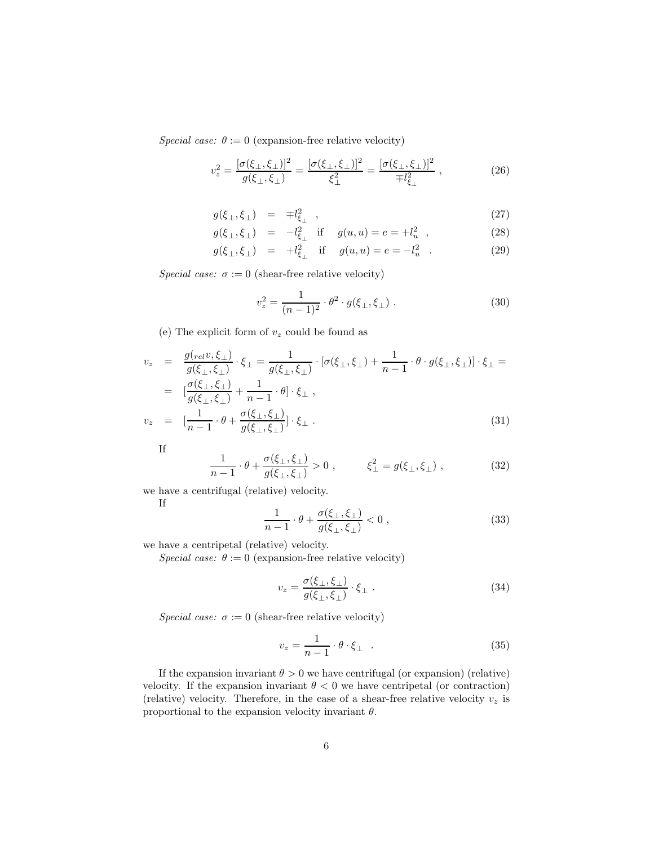Special case:  $\theta := 0$  (expansion-free relative velocity)

$$
v_z^2 = \frac{[\sigma(\xi_\perp, \xi_\perp)]^2}{g(\xi_\perp, \xi_\perp)} = \frac{[\sigma(\xi_\perp, \xi_\perp)]^2}{\xi_\perp^2} = \frac{[\sigma(\xi_\perp, \xi_\perp)]^2}{\mp l_{\xi_\perp}^2} \,, \tag{26}
$$

$$
g(\xi_{\perp}, \xi_{\perp}) = \mp l_{\xi_{\perp}}^2 \quad , \tag{27}
$$

$$
g(\xi_{\perp}, \xi_{\perp}) = -l_{\xi_{\perp}}^2
$$
 if  $g(u, u) = e = +l_u^2$ , (28)

$$
g(\xi_{\perp}, \xi_{\perp}) = +l_{\xi_{\perp}}^2
$$
 if  $g(u, u) = e = -l_u^2$ . (29)

Special case:  $\sigma := 0$  (shear-free relative velocity)

$$
v_z^2 = \frac{1}{(n-1)^2} \cdot \theta^2 \cdot g(\xi_\perp, \xi_\perp) \ . \tag{30}
$$

(e) The explicit form of  $v_z$  could be found as

$$
v_z = \frac{g_{\langle rel}v, \xi_{\perp} \rangle}{g(\xi_{\perp}, \xi_{\perp})} \cdot \xi_{\perp} = \frac{1}{g(\xi_{\perp}, \xi_{\perp})} \cdot [\sigma(\xi_{\perp}, \xi_{\perp}) + \frac{1}{n-1} \cdot \theta \cdot g(\xi_{\perp}, \xi_{\perp})] \cdot \xi_{\perp} =
$$
  
\n
$$
= \left[ \frac{\sigma(\xi_{\perp}, \xi_{\perp})}{g(\xi_{\perp}, \xi_{\perp})} + \frac{1}{n-1} \cdot \theta \right] \cdot \xi_{\perp},
$$
  
\n
$$
v_z = \left[ \frac{1}{n-1} \cdot \theta + \frac{\sigma(\xi_{\perp}, \xi_{\perp})}{g(\xi_{\perp}, \xi_{\perp})} \right] \cdot \xi_{\perp}.
$$
\n(31)

If

$$
\frac{1}{n-1} \cdot \theta + \frac{\sigma(\xi_{\perp}, \xi_{\perp})}{g(\xi_{\perp}, \xi_{\perp})} > 0 , \qquad \xi_{\perp}^2 = g(\xi_{\perp}, \xi_{\perp}) , \qquad (32)
$$

we have a centrifugal (relative) velocity.

If

$$
\frac{1}{n-1} \cdot \theta + \frac{\sigma(\xi_\perp, \xi_\perp)}{g(\xi_\perp, \xi_\perp)} < 0 \tag{33}
$$

we have a centripetal (relative) velocity.

Special case:  $\theta := 0$  (expansion-free relative velocity)

$$
v_z = \frac{\sigma(\xi_\perp, \xi_\perp)}{g(\xi_\perp, \xi_\perp)} \cdot \xi_\perp \,. \tag{34}
$$

Special case:  $\sigma := 0$  (shear-free relative velocity)

$$
v_z = \frac{1}{n-1} \cdot \theta \cdot \xi_{\perp} \quad . \tag{35}
$$

If the expansion invariant  $\theta > 0$  we have centrifugal (or expansion) (relative) velocity. If the expansion invariant  $\theta < 0$  we have centripetal (or contraction) (relative) velocity. Therefore, in the case of a shear-free relative velocity  $v<sub>z</sub>$  is proportional to the expansion velocity invariant  $\theta$ .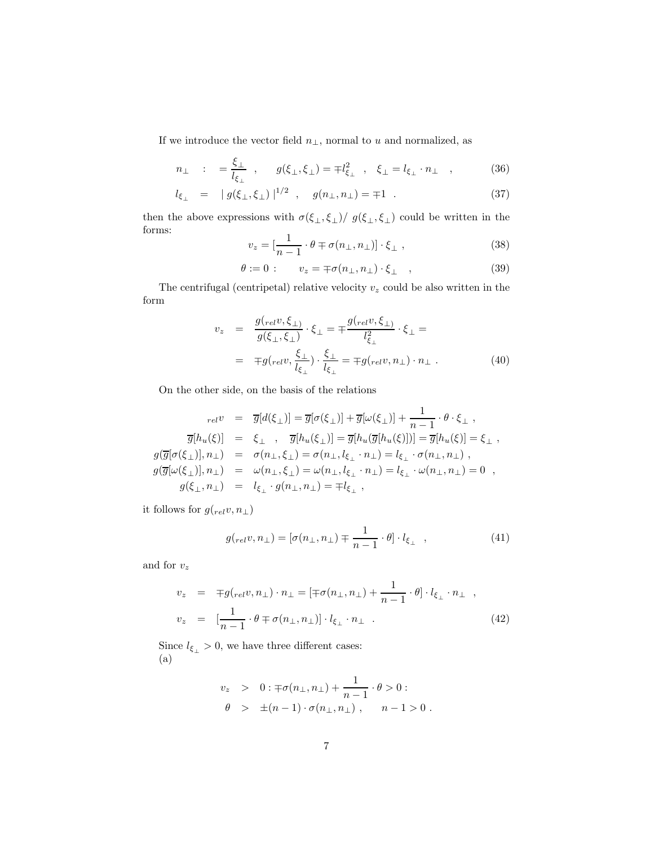If we introduce the vector field  $n_{\perp},$  normal to  $u$  and normalized, as

$$
n_{\perp} : = \frac{\xi_{\perp}}{l_{\xi_{\perp}}}, \quad g(\xi_{\perp}, \xi_{\perp}) = \mp l_{\xi_{\perp}}^2, \quad \xi_{\perp} = l_{\xi_{\perp}} \cdot n_{\perp} \quad , \tag{36}
$$

$$
l_{\xi_{\perp}} = |g(\xi_{\perp}, \xi_{\perp})|^{1/2}, \quad g(n_{\perp}, n_{\perp}) = \pm 1. \tag{37}
$$

then the above expressions with  $\sigma(\xi_{\perp}, \xi_{\perp})/g(\xi_{\perp}, \xi_{\perp})$  could be written in the forms:

$$
v_z = \left[\frac{1}{n-1} \cdot \theta \mp \sigma(n_\perp, n_\perp)\right] \cdot \xi_\perp , \qquad (38)
$$

$$
\theta := 0: \qquad v_z = \mp \sigma(n_\perp, n_\perp) \cdot \xi_\perp \quad , \tag{39}
$$

The centrifugal (centripetal) relative velocity  $v_z$  could be also written in the form

$$
v_z = \frac{g_{\left(\text{rel} \mathcal{V}, \xi_{\perp}\right)}}{g(\xi_{\perp}, \xi_{\perp})} \cdot \xi_{\perp} = \mp \frac{g_{\left(\text{rel} \mathcal{V}, \xi_{\perp}\right)}}{l_{\xi_{\perp}}^2} \cdot \xi_{\perp} =
$$
  

$$
= \mp g_{\left(\text{rel} \mathcal{V}, \frac{\xi_{\perp}}{l_{\xi_{\perp}}}\right)} \cdot \frac{\xi_{\perp}}{l_{\xi_{\perp}}} = \mp g_{\left(\text{rel} \mathcal{V}, n_{\perp}\right)} \cdot n_{\perp} . \tag{40}
$$

On the other side, on the basis of the relations

$$
\begin{array}{rcl} {}_{rel}v & = & \overline{g}[d(\xi_{\perp})]=\overline{g}[\sigma(\xi_{\perp})]+\overline{g}[\omega(\xi_{\perp})]+\frac{1}{n-1}\cdot\theta\cdot\xi_{\perp} \ ,\\ {} & \overline{g}[h_u(\xi)] & = & \xi_{\perp} \ \ , \quad \overline{g}[h_u(\xi_{\perp})]=\overline{g}[h_u(\overline{g}[h_u(\xi)])]=\overline{g}[h_u(\xi)]=\xi_{\perp} \ ,\\ {} & \phantom{rel} g(\overline{g}[\sigma(\xi_{\perp})],n_{\perp}) & = & \phantom{rel} \sigma(n_{\perp},\xi_{\perp})=\sigma(n_{\perp},l_{\xi_{\perp}}\cdot n_{\perp})=l_{\xi_{\perp}}\cdot\sigma(n_{\perp},n_{\perp}) \ ,\\ {} & \phantom{rel} g(\overline{g}[\omega(\xi_{\perp})],n_{\perp}) & = & \phantom{rel} \omega(n_{\perp},\xi_{\perp})=\omega(n_{\perp},l_{\xi_{\perp}}\cdot n_{\perp})=l_{\xi_{\perp}}\cdot\omega(n_{\perp},n_{\perp})=0 \ ,\\ {} & \phantom{rel} g(\xi_{\perp},n_{\perp}) & = & \phantom{rel} l_{\xi_{\perp}}\cdot g(n_{\perp},n_{\perp})=\mp l_{\xi_{\perp}} \ , \end{array}
$$

it follows for  $g({}_{rel}v, n_\perp)$ 

$$
g_{\left(\text{rel }v,\,n_{\perp}\right)} = \left[\sigma(n_{\perp}, n_{\perp}) \mp \frac{1}{n-1} \cdot \theta\right] \cdot l_{\xi_{\perp}} \quad , \tag{41}
$$

and for  $v_z$ 

$$
v_z = \mp g_{rel}v, n_\perp) \cdot n_\perp = \left[ \mp \sigma(n_\perp, n_\perp) + \frac{1}{n-1} \cdot \theta \right] \cdot l_{\xi_\perp} \cdot n_\perp ,
$$
  

$$
v_z = \left[ \frac{1}{n-1} \cdot \theta \mp \sigma(n_\perp, n_\perp) \right] \cdot l_{\xi_\perp} \cdot n_\perp .
$$
 (42)

Since  $l_{\xi_{\perp}} > 0$ , we have three different cases: (a)

$$
v_z > 0 : \mp \sigma(n_{\perp}, n_{\perp}) + \frac{1}{n-1} \cdot \theta > 0 :
$$
  

$$
\theta > \pm (n-1) \cdot \sigma(n_{\perp}, n_{\perp}), \quad n-1 > 0.
$$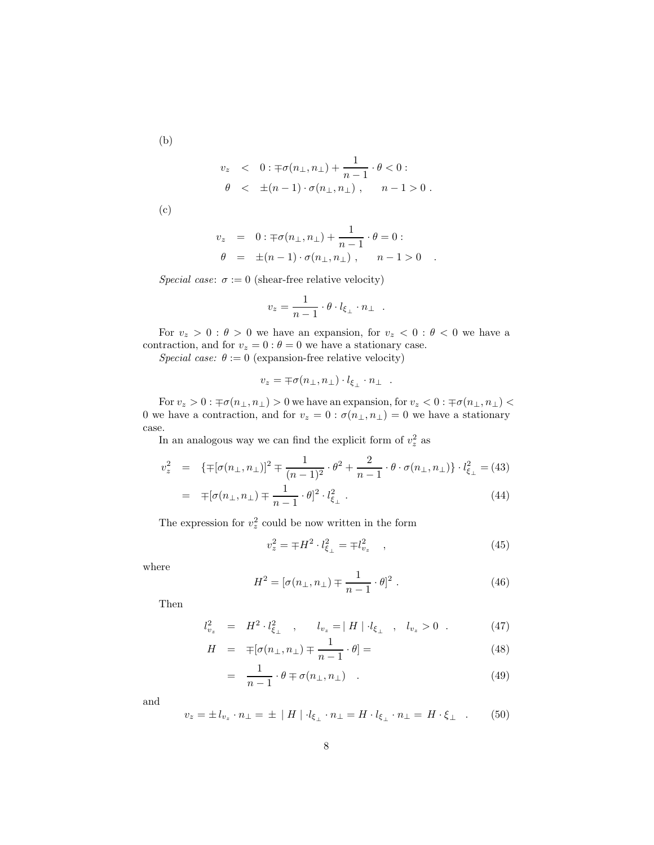(b)

$$
v_z \quad < \quad 0: \pm \sigma(n_\perp, n_\perp) + \frac{1}{n-1} \cdot \theta < 0: \\
\theta \quad < \quad \pm (n-1) \cdot \sigma(n_\perp, n_\perp) \;, \qquad n-1 > 0 \; .
$$

(c)

$$
v_z = 0 : \mp \sigma(n_{\perp}, n_{\perp}) + \frac{1}{n-1} \cdot \theta = 0 : \n\theta = \pm (n-1) \cdot \sigma(n_{\perp}, n_{\perp}), \quad n-1 > 0 .
$$

Special case:  $\sigma := 0$  (shear-free relative velocity)

$$
v_z = \frac{1}{n-1} \cdot \theta \cdot l_{\xi_\perp} \cdot n_\perp .
$$

For  $v_z > 0$ :  $\theta > 0$  we have an expansion, for  $v_z < 0$ :  $\theta < 0$  we have a contraction, and for  $v_z = 0$ :  $\theta = 0$  we have a stationary case.

Special case:  $\theta := 0$  (expansion-free relative velocity)

$$
v_z = \mp \sigma(n_{\perp}, n_{\perp}) \cdot l_{\xi_{\perp}} \cdot n_{\perp} .
$$

For  $v_z>0$  :  $\mp\sigma(n_{\perp},n_{\perp})>0$  we have an expansion, for  $v_z<0$  :  $\mp\sigma(n_{\perp},n_{\perp})<$ 0 we have a contraction, and for  $v_z = 0$ :  $\sigma(n_{\perp}, n_{\perp}) = 0$  we have a stationary case.

In an analogous way we can find the explicit form of  $v_z^2$  as

$$
v_z^2 = \{ \pm [\sigma(n_\perp, n_\perp)]^2 \pm \frac{1}{(n-1)^2} \cdot \theta^2 + \frac{2}{n-1} \cdot \theta \cdot \sigma(n_\perp, n_\perp) \} \cdot l_{\xi_\perp}^2 = (43)
$$

$$
= \mp[\sigma(n_{\perp}, n_{\perp}) \mp \frac{1}{n-1} \cdot \theta]^2 \cdot l_{\xi_{\perp}}^2 \tag{44}
$$

The expression for  $v_z^2$  could be now written in the form

$$
v_z^2 = \mp H^2 \cdot l_{\xi_\perp}^2 = \mp l_{v_z}^2 \quad , \tag{45}
$$

where

$$
H^{2} = [\sigma(n_{\perp}, n_{\perp}) \mp \frac{1}{n-1} \cdot \theta]^{2} . \qquad (46)
$$

Then

$$
l_{v_z}^2 = H^2 \cdot l_{\xi_\perp}^2 \quad , \qquad l_{v_z} = |H| \cdot l_{\xi_\perp} \quad , \quad l_{v_z} > 0 \quad . \tag{47}
$$

$$
H = \mp[\sigma(n_{\perp}, n_{\perp}) \mp \frac{1}{n-1} \cdot \theta] = \tag{48}
$$

$$
= \frac{1}{n-1} \cdot \theta \mp \sigma(n_{\perp}, n_{\perp}) \quad . \tag{49}
$$

and

$$
v_z = \pm l_{v_z} \cdot n_\perp = \pm \mid H \mid \cdot l_{\xi_\perp} \cdot n_\perp = H \cdot l_{\xi_\perp} \cdot n_\perp = H \cdot \xi_\perp \quad . \tag{50}
$$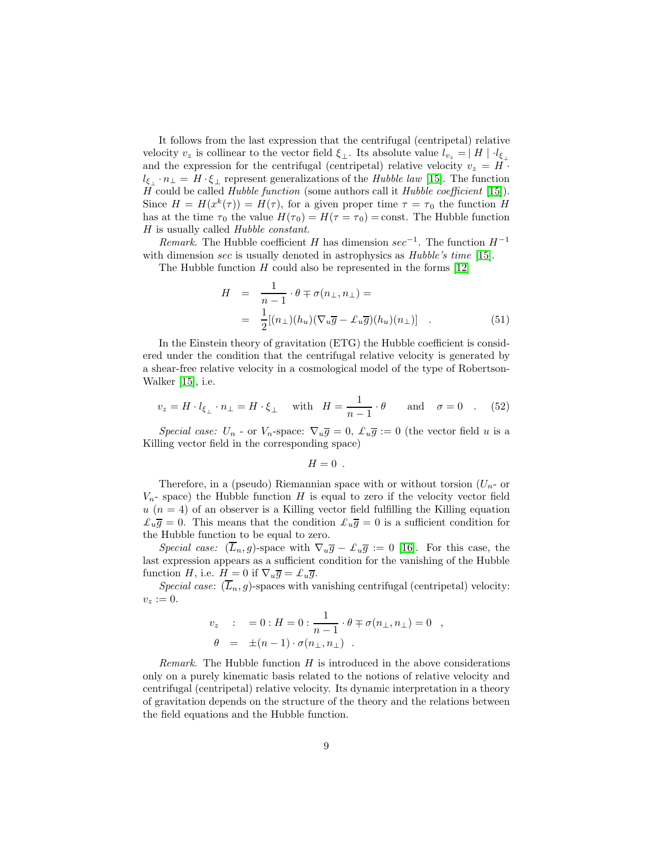It follows from the last expression that the centrifugal (centripetal) relative velocity  $v_z$  is collinear to the vector field  $\xi_{\perp}$ . Its absolute value  $l_{v_z} = |H| \cdot l_{\xi_{\perp}}$ and the expression for the centrifugal (centripetal) relative velocity  $v_z = H$ .  $l_{\xi_+} \cdot n_\perp = H \cdot \xi_\perp$  represent generalizations of the Hubble law [\[15\]](#page-28-0). The function H could be called Hubble function (some authors call it Hubble coefficient [\[15\]](#page-28-0)). Since  $H = H(x^k(\tau)) = H(\tau)$ , for a given proper time  $\tau = \tau_0$  the function H has at the time  $\tau_0$  the value  $H(\tau_0) = H(\tau = \tau_0) = \text{const.}$  The Hubble function H is usually called Hubble constant.

Remark. The Hubble coefficient H has dimension  $sec^{-1}$ . The function  $H^{-1}$ with dimension sec is usually denoted in astrophysics as *Hubble's time* [\[15\]](#page-28-0).

The Hubble function  $H$  could also be represented in the forms [\[12\]](#page-27-6)

$$
H = \frac{1}{n-1} \cdot \theta \mp \sigma(n_{\perp}, n_{\perp}) =
$$
  
= 
$$
\frac{1}{2} [(n_{\perp})(h_u)(\nabla_u \overline{g} - \mathcal{L}_u \overline{g})(h_u)(n_{\perp})]
$$
 (51)

In the Einstein theory of gravitation (ETG) the Hubble coefficient is considered under the condition that the centrifugal relative velocity is generated by a shear-free relative velocity in a cosmological model of the type of Robertson-Walker [\[15\]](#page-28-0), i.e.

$$
v_z = H \cdot l_{\xi_\perp} \cdot n_\perp = H \cdot \xi_\perp \quad \text{with} \quad H = \frac{1}{n-1} \cdot \theta \quad \text{and} \quad \sigma = 0 \quad . \tag{52}
$$

Special case:  $U_n$  - or  $V_n$ -space:  $\nabla_u \overline{g} = 0$ ,  $\mathcal{L}_u \overline{g} := 0$  (the vector field u is a Killing vector field in the corresponding space)

 $H=0$ .

Therefore, in a (pseudo) Riemannian space with or without torsion  $(U_n$ - or  $V_n$ - space) the Hubble function H is equal to zero if the velocity vector field  $u(n = 4)$  of an observer is a Killing vector field fulfilling the Killing equation  $\mathcal{L}_u \overline{g} = 0$ . This means that the condition  $\mathcal{L}_u \overline{g} = 0$  is a sufficient condition for the Hubble function to be equal to zero.

Special case:  $(\overline{L}_n, g)$ -space with  $\nabla_u \overline{g} - \mathcal{L}_u \overline{g} := 0$  [\[16\]](#page-28-1). For this case, the last expression appears as a sufficient condition for the vanishing of the Hubble function H, i.e.  $H = 0$  if  $\nabla_u \overline{g} = \mathcal{L}_u \overline{g}$ .

Special case:  $(\overline{L}_n, g)$ -spaces with vanishing centrifugal (centripetal) velocity:  $v_z := 0.$ 

$$
v_z : = 0 : H = 0 : \frac{1}{n-1} \cdot \theta \mp \sigma(n_\perp, n_\perp) = 0 ,
$$
  

$$
\theta = \pm (n-1) \cdot \sigma(n_\perp, n_\perp) .
$$

Remark. The Hubble function  $H$  is introduced in the above considerations only on a purely kinematic basis related to the notions of relative velocity and centrifugal (centripetal) relative velocity. Its dynamic interpretation in a theory of gravitation depends on the structure of the theory and the relations between the field equations and the Hubble function.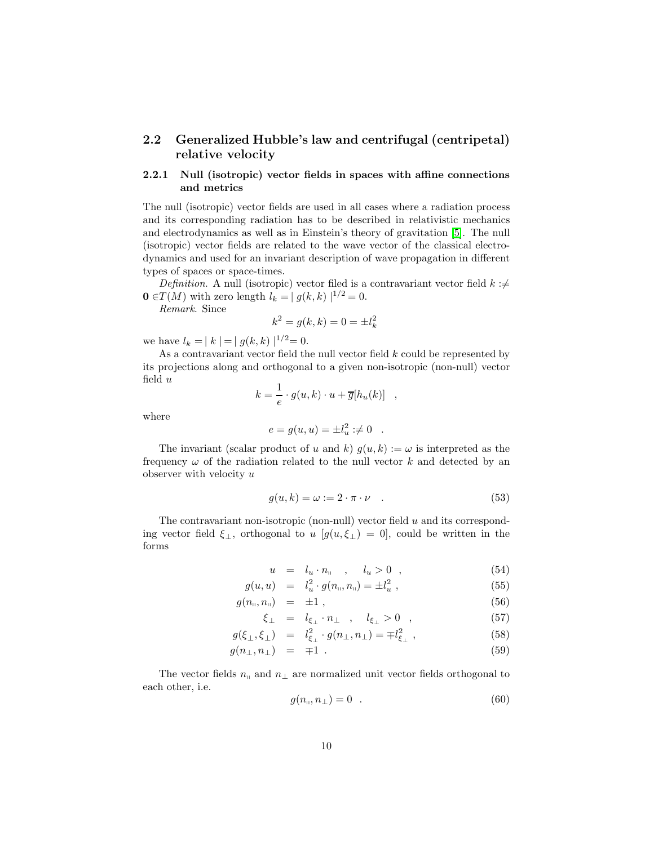#### 2.2 Generalized Hubble's law and centrifugal (centripetal) relative velocity

#### 2.2.1 Null (isotropic) vector fields in spaces with affine connections and metrics

The null (isotropic) vector fields are used in all cases where a radiation process and its corresponding radiation has to be described in relativistic mechanics and electrodynamics as well as in Einstein's theory of gravitation [\[5\]](#page-27-2). The null (isotropic) vector fields are related to the wave vector of the classical electrodynamics and used for an invariant description of wave propagation in different types of spaces or space-times.

Definition. A null (isotropic) vector filed is a contravariant vector field  $k : \neq$  $\mathbf{0} \in T(M)$  with zero length  $l_k = |g(k, k)|^{1/2} = 0$ .

Remark. Since

$$
k^2 = g(k, k) = 0 = \pm l_k^2
$$

we have  $l_k = |k| = |g(k, k)|^{1/2} = 0$ .

As a contravariant vector field the null vector field  $k$  could be represented by its projections along and orthogonal to a given non-isotropic (non-null) vector field u

$$
k = \frac{1}{e} \cdot g(u, k) \cdot u + \overline{g}[h_u(k)] \quad ,
$$

where

$$
e = g(u, u) = \pm l_u^2 : \neq 0
$$
.

The invariant (scalar product of u and k)  $g(u, k) := \omega$  is interpreted as the frequency  $\omega$  of the radiation related to the null vector k and detected by an observer with velocity  $u$ 

$$
g(u,k) = \omega := 2 \cdot \pi \cdot \nu \quad . \tag{53}
$$

The contravariant non-isotropic (non-null) vector field  $u$  and its corresponding vector field  $\xi_{\perp}$ , orthogonal to u [g(u,  $\xi_{\perp}$ ) = 0], could be written in the forms

$$
u = l_u \cdot n_{\mathfrak{m}}, \quad l_u > 0 \quad , \tag{54}
$$

$$
g(u, u) = l_u^2 \cdot g(n_{\shortparallel}, n_{\shortparallel}) = \pm l_u^2 , \qquad (55)
$$

$$
g(n_{\shortparallel}, n_{\shortparallel}) = \pm 1 \,, \tag{56}
$$

$$
\xi_{\perp} = l_{\xi_{\perp}} \cdot n_{\perp} , l_{\xi_{\perp}} > 0 , \qquad (57)
$$

$$
g(\xi_{\perp}, \xi_{\perp}) = l_{\xi_{\perp}}^2 \cdot g(n_{\perp}, n_{\perp}) = \mp l_{\xi_{\perp}}^2 , \qquad (58)
$$

$$
g(n_{\perp}, n_{\perp}) = \mp 1 \tag{59}
$$

The vector fields  $n_{\parallel}$  and  $n_{\perp}$  are normalized unit vector fields orthogonal to each other, i.e.

$$
g(n_{\shortparallel}, n_{\perp}) = 0 \t . \t (60)
$$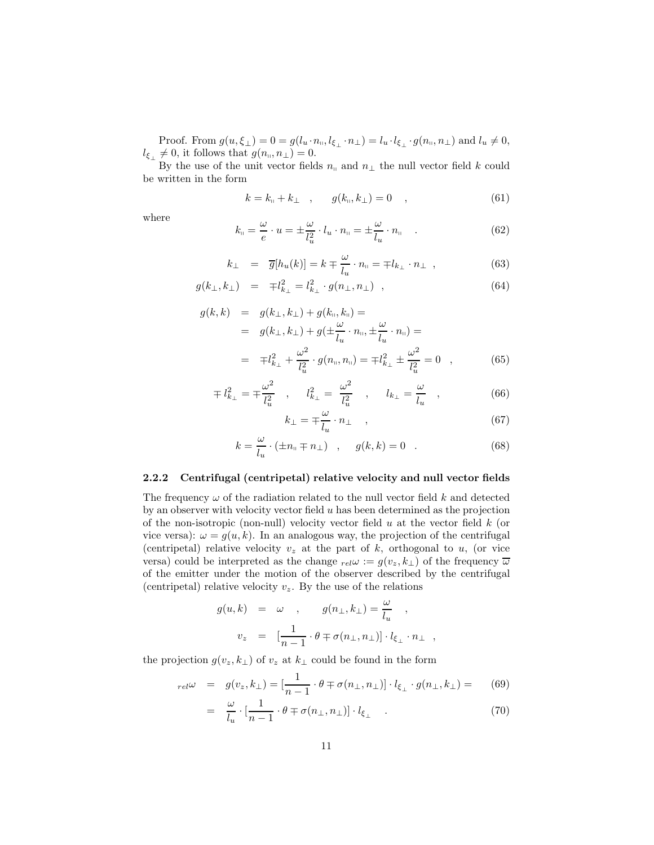Proof. From  $g(u,\xi_{\perp})=0=g(l_u\cdot n_{\shortparallel},l_{\xi_{\perp}}\cdot n_{\perp})=l_u\cdot l_{\xi_{\perp}}\cdot g(n_{\shortparallel},n_{\perp})$  and  $l_u\neq 0$ ,  $l_{\xi_{\perp}} \neq 0$ , it follows that  $g(n_{\shortparallel}, n_{\perp}) = 0$ .

By the use of the unit vector fields  $n_{\parallel}$  and  $n_{\perp}$  the null vector field k could be written in the form

$$
k = k_{\shortparallel} + k_{\perp} \quad , \qquad g(k_{\shortparallel}, k_{\perp}) = 0 \quad , \tag{61}
$$

where

$$
k_{\shortparallel} = \frac{\omega}{e} \cdot u = \pm \frac{\omega}{l_u^2} \cdot l_u \cdot n_{\shortparallel} = \pm \frac{\omega}{l_u} \cdot n_{\shortparallel} \quad . \tag{62}
$$

$$
k_{\perp} = \overline{g}[h_u(k)] = k \mp \frac{\omega}{l_u} \cdot n_{\parallel} = \mp l_{k_{\perp}} \cdot n_{\perp} , \qquad (63)
$$

$$
g(k_{\perp}, k_{\perp}) = \mp l_{k_{\perp}}^2 = l_{k_{\perp}}^2 \cdot g(n_{\perp}, n_{\perp}), \qquad (64)
$$

$$
g(k,k) = g(k_{\perp}, k_{\perp}) + g(k_{\shortparallel}, k_{\shortparallel}) =
$$
  
\n
$$
= g(k_{\perp}, k_{\perp}) + g(\pm \frac{\omega}{l_u} \cdot n_{\shortparallel}, \pm \frac{\omega}{l_u} \cdot n_{\shortparallel}) =
$$
  
\n
$$
= \mp l_{k_{\perp}}^2 + \frac{\omega^2}{l_u^2} \cdot g(n_{\shortparallel}, n_{\shortparallel}) = \mp l_{k_{\perp}}^2 \pm \frac{\omega^2}{l_u^2} = 0 \quad , \tag{65}
$$

$$
\mp l_{k_{\perp}}^2 = \mp \frac{\omega^2}{l_u^2} \quad , \quad l_{k_{\perp}}^2 = \frac{\omega^2}{l_u^2} \quad , \quad l_{k_{\perp}} = \frac{\omega}{l_u} \quad , \tag{66}
$$

$$
k_{\perp} = \mp \frac{\omega}{l_u} \cdot n_{\perp} \quad , \tag{67}
$$

$$
k = \frac{\omega}{l_u} \cdot (\pm n_{\shortparallel} \mp n_{\perp}) \quad , \quad g(k,k) = 0 \quad . \tag{68}
$$

#### 2.2.2 Centrifugal (centripetal) relative velocity and null vector fields

The frequency  $\omega$  of the radiation related to the null vector field k and detected by an observer with velocity vector field  $u$  has been determined as the projection of the non-isotropic (non-null) velocity vector field  $u$  at the vector field  $k$  (or vice versa):  $\omega = g(u, k)$ . In an analogous way, the projection of the centrifugal (centripetal) relative velocity  $v<sub>z</sub>$  at the part of k, orthogonal to u, (or vice versa) could be interpreted as the change  $_{rel}\omega := g(v_z, k_\perp)$  of the frequency  $\overline{\omega}$ of the emitter under the motion of the observer described by the centrifugal (centripetal) relative velocity  $v_z$ . By the use of the relations

$$
\begin{array}{rcl} g(u,k) & = & \omega & , \qquad g(n_{\perp},k_{\perp}) = \frac{\omega}{l_u} \\ & & \\ v_z & = & \big[\frac{1}{n-1}\cdot\theta \mp \sigma(n_{\perp},n_{\perp})\big]\cdot l_{\xi_{\perp}}\cdot n_{\perp} \ \ , \end{array}
$$

the projection  $g(v_z, k_\perp)$  of  $v_z$  at  $k_\perp$  could be found in the form

$$
_{rel}\omega = g(v_z, k_\perp) = \left[\frac{1}{n-1} \cdot \theta \mp \sigma(n_\perp, n_\perp)\right] \cdot l_{\xi_\perp} \cdot g(n_\perp, k_\perp) = (69)
$$

$$
= \frac{\omega}{l_u} \cdot \left[\frac{1}{n-1} \cdot \theta \mp \sigma(n_\perp, n_\perp)\right] \cdot l_{\xi_\perp} \quad . \tag{70}
$$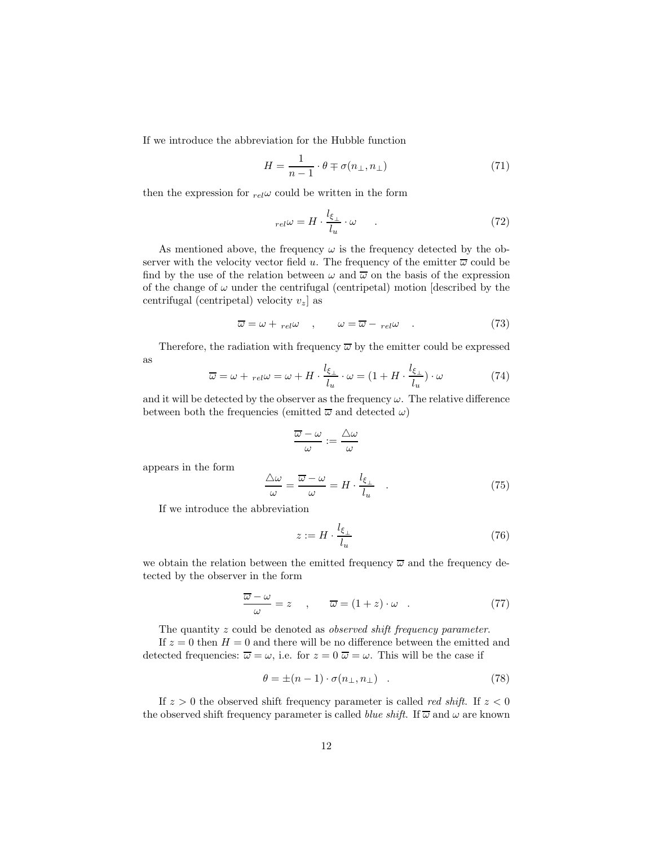If we introduce the abbreviation for the Hubble function

$$
H = \frac{1}{n-1} \cdot \theta \mp \sigma(n_{\perp}, n_{\perp}) \tag{71}
$$

then the expression for  $_{rel}\omega$  could be written in the form

$$
_{rel}\omega = H \cdot \frac{l_{\xi_{\perp}}}{l_u} \cdot \omega \qquad . \tag{72}
$$

As mentioned above, the frequency  $\omega$  is the frequency detected by the observer with the velocity vector field u. The frequency of the emitter  $\overline{\omega}$  could be find by the use of the relation between  $\omega$  and  $\overline{\omega}$  on the basis of the expression of the change of  $\omega$  under the centrifugal (centripetal) motion [described by the centrifugal (centripetal) velocity  $v_z$  as

$$
\overline{\omega} = \omega + \text{rel}\omega \quad , \qquad \omega = \overline{\omega} - \text{rel}\omega \quad . \tag{73}
$$

Therefore, the radiation with frequency  $\overline{\omega}$  by the emitter could be expressed as

$$
\overline{\omega} = \omega + {}_{rel}\omega = \omega + H \cdot \frac{l_{\xi_{\perp}}}{l_u} \cdot \omega = (1 + H \cdot \frac{l_{\xi_{\perp}}}{l_u}) \cdot \omega \tag{74}
$$

and it will be detected by the observer as the frequency  $\omega$ . The relative difference between both the frequencies (emitted  $\overline{\omega}$  and detected  $\omega$ )

$$
\frac{\overline{\omega} - \omega}{\omega} := \frac{\triangle \omega}{\omega}
$$

appears in the form

$$
\frac{\triangle\omega}{\omega} = \frac{\overline{\omega} - \omega}{\omega} = H \cdot \frac{l_{\xi_{\perp}}}{l_u} \quad . \tag{75}
$$

If we introduce the abbreviation

$$
z := H \cdot \frac{l_{\xi_{\perp}}}{l_u} \tag{76}
$$

we obtain the relation between the emitted frequency  $\overline{\omega}$  and the frequency detected by the observer in the form

$$
\frac{\overline{\omega} - \omega}{\omega} = z \quad , \qquad \overline{\omega} = (1 + z) \cdot \omega \quad . \tag{77}
$$

The quantity z could be denoted as *observed shift frequency parameter*.

If  $z = 0$  then  $H = 0$  and there will be no difference between the emitted and detected frequencies:  $\overline{\omega} = \omega$ , i.e. for  $z = 0$   $\overline{\omega} = \omega$ . This will be the case if

$$
\theta = \pm (n-1) \cdot \sigma(n_{\perp}, n_{\perp}) \quad . \tag{78}
$$

If  $z > 0$  the observed shift frequency parameter is called *red shift*. If  $z < 0$ the observed shift frequency parameter is called *blue shift*. If  $\overline{\omega}$  and  $\omega$  are known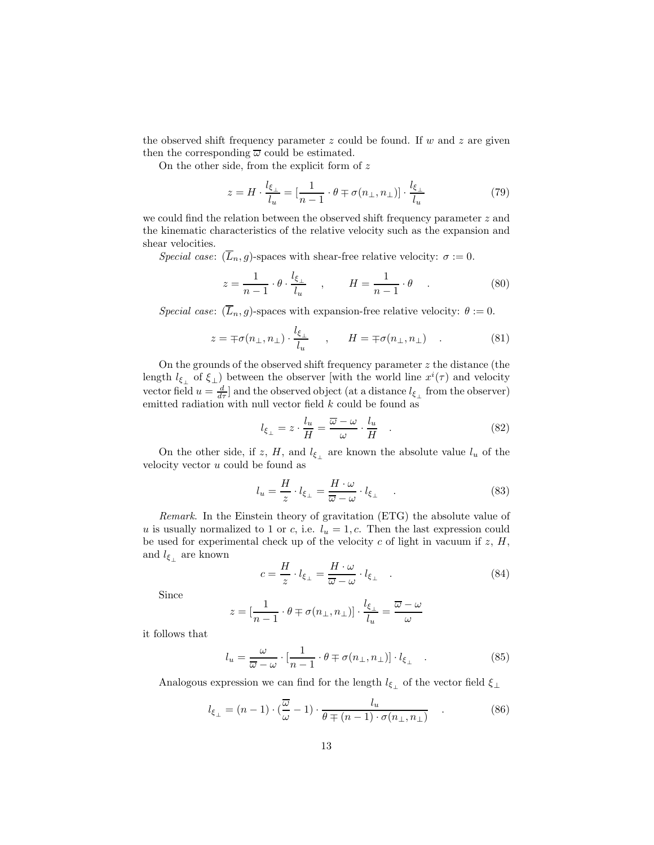the observed shift frequency parameter  $z$  could be found. If  $w$  and  $z$  are given then the corresponding  $\overline{\omega}$  could be estimated.

On the other side, from the explicit form of z

$$
z = H \cdot \frac{l_{\xi_{\perp}}}{l_u} = \left[\frac{1}{n-1} \cdot \theta \mp \sigma(n_{\perp}, n_{\perp})\right] \cdot \frac{l_{\xi_{\perp}}}{l_u} \tag{79}
$$

we could find the relation between the observed shift frequency parameter z and the kinematic characteristics of the relative velocity such as the expansion and shear velocities.

Special case:  $(L_n, g)$ -spaces with shear-free relative velocity:  $\sigma := 0$ .

$$
z = \frac{1}{n-1} \cdot \theta \cdot \frac{l_{\xi_{\perp}}}{l_u} \quad , \qquad H = \frac{1}{n-1} \cdot \theta \quad . \tag{80}
$$

Special case:  $(\overline{L}_n, g)$ -spaces with expansion-free relative velocity:  $\theta := 0$ .

$$
z = \mp \sigma(n_{\perp}, n_{\perp}) \cdot \frac{l_{\xi_{\perp}}}{l_u} \qquad , \qquad H = \mp \sigma(n_{\perp}, n_{\perp}) \qquad . \tag{81}
$$

On the grounds of the observed shift frequency parameter  $z$  the distance (the length  $l_{\xi_{\perp}}$  of  $\xi_{\perp}$ ) between the observer [with the world line  $x^{i}(\tau)$  and velocity vector field  $u = \frac{d}{d\tau}$  and the observed object (at a distance  $l_{\xi_{\perp}}$  from the observer) emitted radiation with null vector field  $k$  could be found as

$$
l_{\xi_{\perp}} = z \cdot \frac{l_u}{H} = \frac{\overline{\omega} - \omega}{\omega} \cdot \frac{l_u}{H} \quad . \tag{82}
$$

On the other side, if z, H, and  $l_{\xi_{\perp}}$  are known the absolute value  $l_u$  of the velocity vector u could be found as

$$
l_u = \frac{H}{z} \cdot l_{\xi_{\perp}} = \frac{H \cdot \omega}{\overline{\omega} - \omega} \cdot l_{\xi_{\perp}} \tag{83}
$$

Remark. In the Einstein theory of gravitation (ETG) the absolute value of u is usually normalized to 1 or c, i.e.  $l_u = 1, c$ . Then the last expression could be used for experimental check up of the velocity  $c$  of light in vacuum if  $z$ ,  $H$ , and  $l_{\xi_{\perp}}$  are known

$$
c = \frac{H}{z} \cdot l_{\xi_{\perp}} = \frac{H \cdot \omega}{\overline{\omega} - \omega} \cdot l_{\xi_{\perp}} \quad . \tag{84}
$$

Since

$$
z=[\frac{1}{n-1}\cdot\theta\mp\sigma(n_{\perp},n_{\perp})]\cdot\frac{l_{\xi_{\perp}}}{l_u}=\frac{\overline{\omega}-\omega}{\omega}
$$

it follows that

$$
l_u = \frac{\omega}{\overline{\omega} - \omega} \cdot \left[ \frac{1}{n-1} \cdot \theta \mp \sigma(n_\perp, n_\perp) \right] \cdot l_{\xi_\perp} \quad . \tag{85}
$$

Analogous expression we can find for the length  $l_{\xi_{\perp}}$  of the vector field  $\xi_{\perp}$ 

$$
l_{\xi_{\perp}} = (n-1) \cdot (\frac{\overline{\omega}}{\omega} - 1) \cdot \frac{l_u}{\theta \mp (n-1) \cdot \sigma(n_{\perp}, n_{\perp})}
$$
(86)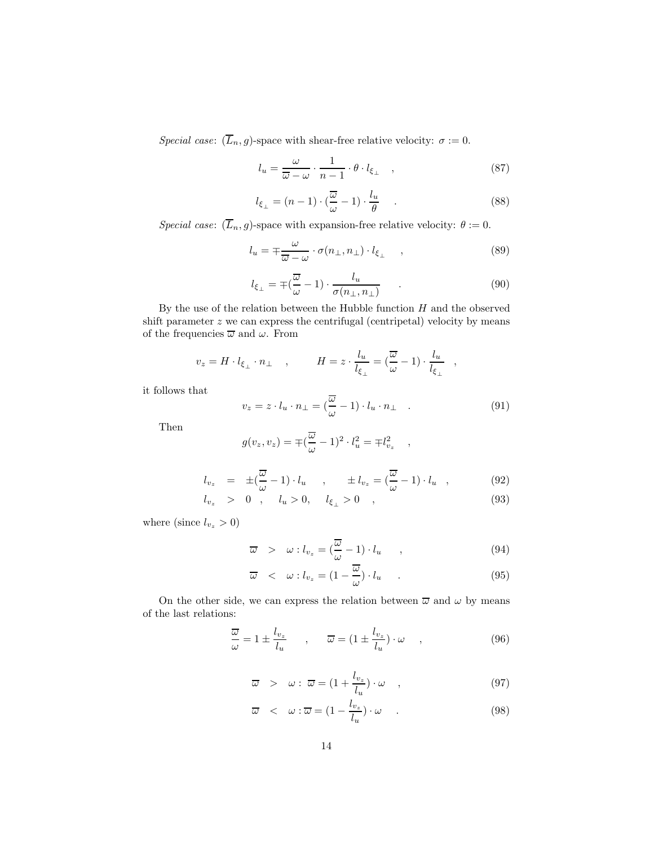Special case:  $(\overline{L}_n, g)$ -space with shear-free relative velocity:  $\sigma := 0$ .

$$
l_u = \frac{\omega}{\overline{\omega} - \omega} \cdot \frac{1}{n - 1} \cdot \theta \cdot l_{\xi_{\perp}} \quad , \tag{87}
$$

$$
l_{\xi_{\perp}} = (n-1) \cdot (\frac{\overline{\omega}}{\omega} - 1) \cdot \frac{l_u}{\theta} \quad . \tag{88}
$$

Special case:  $(\overline{L}_n, g)$ -space with expansion-free relative velocity:  $\theta := 0$ .

$$
l_u = \mp \frac{\omega}{\overline{\omega} - \omega} \cdot \sigma(n_\perp, n_\perp) \cdot l_{\xi_\perp} \quad , \tag{89}
$$

$$
l_{\xi_{\perp}} = \mp \left(\frac{\overline{\omega}}{\omega} - 1\right) \cdot \frac{l_u}{\sigma(n_{\perp}, n_{\perp})} \qquad . \tag{90}
$$

By the use of the relation between the Hubble function  $H$  and the observed shift parameter  $z$  we can express the centrifugal (centripetal) velocity by means of the frequencies  $\overline{\omega}$  and  $\omega.$  From

$$
v_z = H \cdot l_{\xi_\perp} \cdot n_\perp \quad , \qquad H = z \cdot \frac{l_u}{l_{\xi_\perp}} = (\frac{\overline{\omega}}{\omega} - 1) \cdot \frac{l_u}{l_{\xi_\perp}} \quad ,
$$

it follows that

$$
v_z = z \cdot l_u \cdot n_\perp = (\frac{\overline{\omega}}{\omega} - 1) \cdot l_u \cdot n_\perp \quad . \tag{91}
$$

Then

$$
g(v_z, v_z) = \mp (\frac{\overline{\omega}}{\omega} - 1)^2 \cdot l_u^2 = \mp l_{v_z}^2 \quad ,
$$

$$
l_{v_z} = \pm (\frac{\overline{\omega}}{\omega} - 1) \cdot l_u , \qquad \pm l_{v_z} = (\frac{\overline{\omega}}{\omega} - 1) \cdot l_u , \qquad (92)
$$

$$
l_{v_z} > 0 , \quad l_u > 0, \quad l_{\xi_{\perp}} > 0 , \tag{93}
$$

where (since  $l_{v_z} > 0$ )

$$
\overline{\omega} > \omega : l_{v_z} = (\frac{\overline{\omega}}{\omega} - 1) \cdot l_u , \qquad (94)
$$

$$
\overline{\omega} \quad < \quad \omega : l_{v_z} = (1 - \frac{\overline{\omega}}{\omega}) \cdot l_u \quad . \tag{95}
$$

On the other side, we can express the relation between  $\overline{\omega}$  and  $\omega$  by means of the last relations:

$$
\frac{\overline{\omega}}{\omega} = 1 \pm \frac{l_{v_z}}{l_u} \qquad , \qquad \overline{\omega} = (1 \pm \frac{l_{v_z}}{l_u}) \cdot \omega \qquad , \tag{96}
$$

$$
\overline{\omega} > \omega : \overline{\omega} = (1 + \frac{l_{v_z}}{l_u}) \cdot \omega , \qquad (97)
$$

$$
\overline{\omega} \quad < \quad \omega : \overline{\omega} = \left(1 - \frac{l_{v_z}}{l_u}\right) \cdot \omega \tag{98}
$$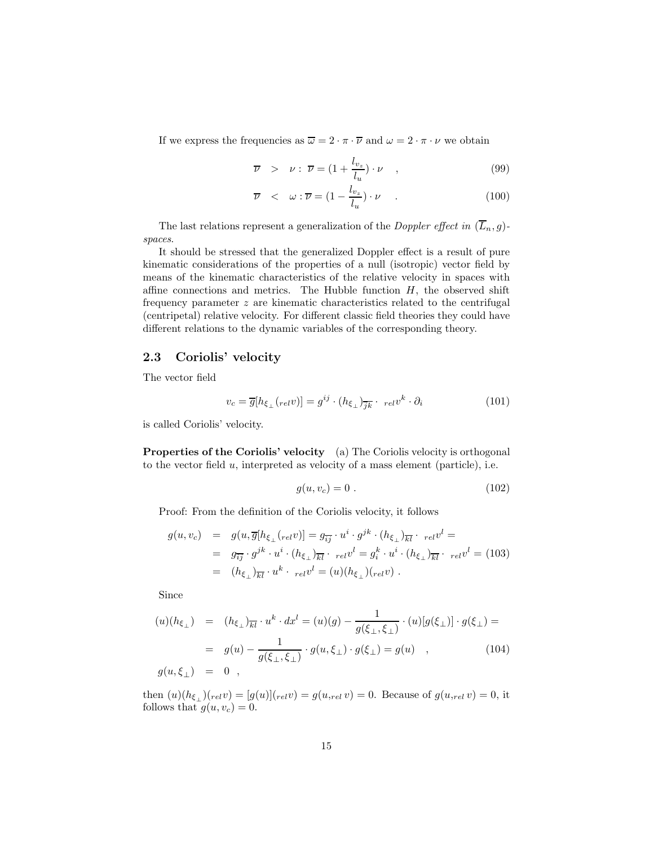If we express the frequencies as  $\overline{\omega} = 2 \cdot \pi \cdot \overline{\nu}$  and  $\omega = 2 \cdot \pi \cdot \nu$  we obtain

$$
\overline{\nu} > \nu : \overline{\nu} = (1 + \frac{l_{v_z}}{l_u}) \cdot \nu \quad , \tag{99}
$$

$$
\overline{\nu} \quad < \quad \omega : \overline{\nu} = (1 - \frac{l_{v_z}}{l_u}) \cdot \nu \quad . \tag{100}
$$

The last relations represent a generalization of the *Doppler effect in*  $(\overline{L}_n, g)$ spaces.

It should be stressed that the generalized Doppler effect is a result of pure kinematic considerations of the properties of a null (isotropic) vector field by means of the kinematic characteristics of the relative velocity in spaces with affine connections and metrics. The Hubble function  $H$ , the observed shift frequency parameter z are kinematic characteristics related to the centrifugal (centripetal) relative velocity. For different classic field theories they could have different relations to the dynamic variables of the corresponding theory.

#### 2.3 Coriolis' velocity

The vector field

$$
v_c = \overline{g}[h_{\xi_{\perp}}(relv)] = g^{ij} \cdot (h_{\xi_{\perp}})_{\overline{jk}} \cdot \left.relv^k \cdot \partial_i\right. \tag{101}
$$

is called Coriolis' velocity.

Properties of the Coriolis' velocity (a) The Coriolis velocity is orthogonal to the vector field  $u$ , interpreted as velocity of a mass element (particle), i.e.

$$
g(u, v_c) = 0. \tag{102}
$$

Proof: From the definition of the Coriolis velocity, it follows

$$
g(u, v_c) = g(u, \overline{g}[h_{\xi_{\perp}}(relv)] = g_{\overline{i}\overline{j}} \cdot u^i \cdot g^{jk} \cdot (h_{\xi_{\perp}})_{\overline{k}\overline{l}} \cdot_{rel} v^l =
$$
  
\n
$$
= g_{\overline{i}\overline{j}} \cdot g^{jk} \cdot u^i \cdot (h_{\xi_{\perp}})_{\overline{k}\overline{l}} \cdot_{rel} v^l = g_i^k \cdot u^i \cdot (h_{\xi_{\perp}})_{\overline{k}\overline{l}} \cdot_{rel} v^l = (103)
$$
  
\n
$$
= (h_{\xi_{\perp}})_{\overline{k}\overline{l}} \cdot u^k \cdot_{rel} v^l = (u)(h_{\xi_{\perp}})_{rel} v).
$$

Since

$$
(u)(h_{\xi_{\perp}}) = (h_{\xi_{\perp}})_{\overline{k}l} \cdot u^k \cdot dx^l = (u)(g) - \frac{1}{g(\xi_{\perp}, \xi_{\perp})} \cdot (u)[g(\xi_{\perp})] \cdot g(\xi_{\perp}) =
$$
  
=  $g(u) - \frac{1}{g(\xi_{\perp}, \xi_{\perp})} \cdot g(u, \xi_{\perp}) \cdot g(\xi_{\perp}) = g(u) ,$  (104)  
 $g(u, \xi_{\perp}) = 0 ,$ 

then  $(u)(h_{\xi_+})(_{rel}v) = [g(u)]_{rel}v) = g(u,_{rel}v) = 0$ . Because of  $g(u,_{rel}v) = 0$ , it follows that  $g(u, v_c) = 0$ .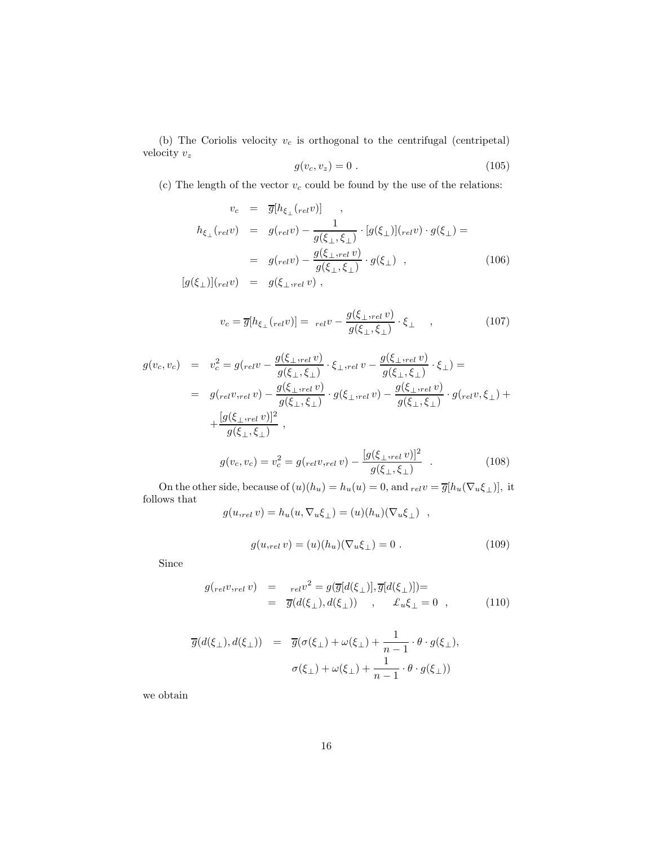(b) The Coriolis velocity  $v_c$  is orthogonal to the centrifugal (centripetal) velocity  $v_z$ 

$$
g(v_c, v_z) = 0 \tag{105}
$$

(c) The length of the vector  $v_c$  could be found by the use of the relations:

$$
v_c = \overline{g}[h_{\xi_{\perp}}(relv)] ,
$$
  
\n
$$
h_{\xi_{\perp}}(relv) = g(relv) - \frac{1}{g(\xi_{\perp}, \xi_{\perp})} \cdot [g(\xi_{\perp})](relv) \cdot g(\xi_{\perp}) =
$$
  
\n
$$
= g(relv) - \frac{g(\xi_{\perp},relv)}{g(\xi_{\perp}, \xi_{\perp})} \cdot g(\xi_{\perp}) ,
$$
  
\n
$$
[g(\xi_{\perp})](relv) = g(\xi_{\perp},relv) ,
$$
\n(106)

$$
v_c = \overline{g}[h_{\xi_{\perp}}(relv)] = \left[relv - \frac{g(\xi_{\perp},relv)}{g(\xi_{\perp},\xi_{\perp})} \cdot \xi_{\perp} \right], \qquad (107)
$$

$$
g(v_c, v_c) = v_c^2 = g_{rel}v - \frac{g(\xi_{\perp, rel} v)}{g(\xi_{\perp}, \xi_{\perp})} \cdot \xi_{\perp, rel} v - \frac{g(\xi_{\perp, rel} v)}{g(\xi_{\perp}, \xi_{\perp})} \cdot \xi_{\perp}) =
$$
  
\n
$$
= g_{rel}v_{rel}v - \frac{g(\xi_{\perp, rel} v)}{g(\xi_{\perp}, \xi_{\perp})} \cdot g(\xi_{\perp, rel} v) - \frac{g(\xi_{\perp, rel} v)}{g(\xi_{\perp}, \xi_{\perp})} \cdot g_{rel}v, \xi_{\perp}) +
$$
  
\n
$$
+ \frac{[g(\xi_{\perp, rel} v)]^2}{g(\xi_{\perp}, \xi_{\perp})},
$$
  
\n
$$
g(v_c, v_c) = v_c^2 = g_{rel}v_{rel}v - \frac{[g(\xi_{\perp, rel} v)]^2}{g(\xi_{\perp}, \xi_{\perp})}.
$$
  
\n(108)

On the other side, because of  $(u)(h_u) = h_u(u) = 0$ , and  $_{rel}v = \overline{g}[h_u(\nabla_u \xi_\perp)]$ , it follows that

$$
g(u,_{rel} v) = h_u(u, \nabla_u \xi_\perp) = (u)(h_u)(\nabla_u \xi_\perp) ,
$$

$$
g(u,_{rel} v) = (u)(h_u)(\nabla_u \xi_\perp) = 0.
$$
 (109)

Since

$$
g_{\text{(rel)}}_{\text{rel}}(v) = \frac{1}{g(d(\xi_{\perp}), d(\xi_{\perp}))} \cdot \overline{g(d(\xi_{\perp})]} =
$$
  
= 
$$
\overline{g(d(\xi_{\perp}), d(\xi_{\perp}))} , \quad \mathcal{L}_u \xi_{\perp} = 0 , \quad (110)
$$

$$
\overline{g}(d(\xi_{\perp}), d(\xi_{\perp})) = \overline{g}(\sigma(\xi_{\perp}) + \omega(\xi_{\perp}) + \frac{1}{n-1} \cdot \theta \cdot g(\xi_{\perp}),
$$

$$
\sigma(\xi_{\perp}) + \omega(\xi_{\perp}) + \frac{1}{n-1} \cdot \theta \cdot g(\xi_{\perp}))
$$

we obtain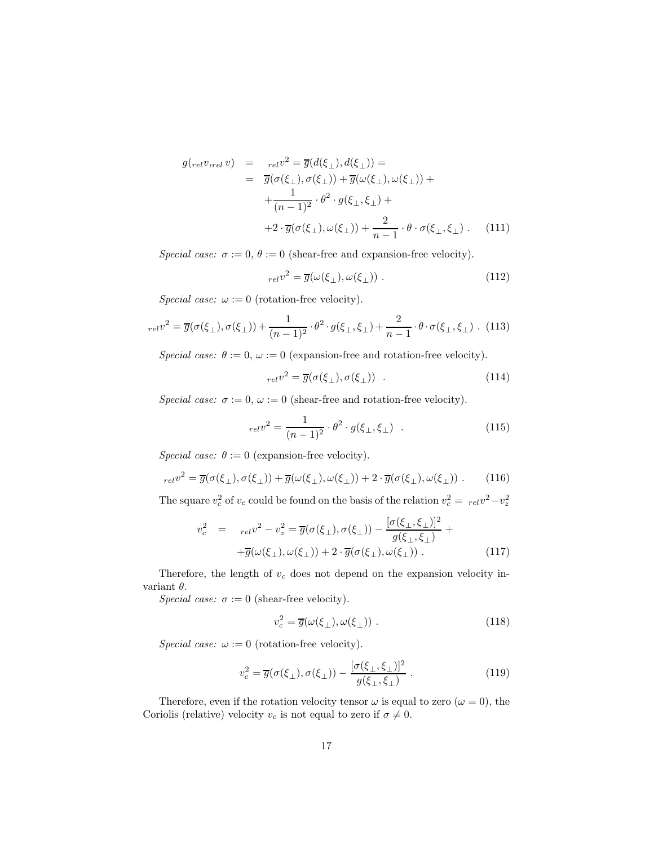$$
g_{\text{(rel)}}(v, \text{rel} v) = \frac{1}{\sigma(\sigma(\xi_{\perp}), \sigma(\xi_{\perp}))} =
$$
  
\n
$$
= \overline{g}(\sigma(\xi_{\perp}), \sigma(\xi_{\perp})) + \overline{g}(\omega(\xi_{\perp}), \omega(\xi_{\perp})) +
$$
  
\n
$$
+ \frac{1}{(n-1)^2} \cdot \theta^2 \cdot g(\xi_{\perp}, \xi_{\perp}) +
$$
  
\n
$$
+ 2 \cdot \overline{g}(\sigma(\xi_{\perp}), \omega(\xi_{\perp})) + \frac{2}{n-1} \cdot \theta \cdot \sigma(\xi_{\perp}, \xi_{\perp}) . \quad (111)
$$

Special case:  $\sigma := 0$ ,  $\theta := 0$  (shear-free and expansion-free velocity).

$$
_{rel}v^2 = \overline{g}(\omega(\xi_\perp), \omega(\xi_\perp)) \ . \tag{112}
$$

Special case:  $\omega := 0$  (rotation-free velocity).

$$
_{rel}v^2 = \overline{g}(\sigma(\xi_\perp), \sigma(\xi_\perp)) + \frac{1}{(n-1)^2} \cdot \theta^2 \cdot g(\xi_\perp, \xi_\perp) + \frac{2}{n-1} \cdot \theta \cdot \sigma(\xi_\perp, \xi_\perp) \tag{113}
$$

Special case:  $\theta := 0$ ,  $\omega := 0$  (expansion-free and rotation-free velocity).

$$
_{rel}v^2 = \overline{g}(\sigma(\xi_\perp), \sigma(\xi_\perp)) \quad . \tag{114}
$$

Special case:  $\sigma := 0$ ,  $\omega := 0$  (shear-free and rotation-free velocity).

$$
_{rel}v^2 = \frac{1}{(n-1)^2} \cdot \theta^2 \cdot g(\xi_\perp, \xi_\perp) \quad . \tag{115}
$$

Special case:  $\theta := 0$  (expansion-free velocity).

$$
_{rel}v^2 = \overline{g}(\sigma(\xi_\perp), \sigma(\xi_\perp)) + \overline{g}(\omega(\xi_\perp), \omega(\xi_\perp)) + 2 \cdot \overline{g}(\sigma(\xi_\perp), \omega(\xi_\perp)) . \tag{116}
$$

The square  $v_c^2$  of  $v_c$  could be found on the basis of the relation  $v_c^2 = \frac{v}{2} - v_z^2$ 

$$
v_c^2 = r_{el}v^2 - v_z^2 = \overline{g}(\sigma(\xi_\perp), \sigma(\xi_\perp)) - \frac{[\sigma(\xi_\perp, \xi_\perp)]^2}{g(\xi_\perp, \xi_\perp)} + + \overline{g}(\omega(\xi_\perp), \omega(\xi_\perp)) + 2 \cdot \overline{g}(\sigma(\xi_\perp), \omega(\xi_\perp)) .
$$
(117)

Therefore, the length of  $v_c$  does not depend on the expansion velocity invariant θ.

Special case:  $\sigma := 0$  (shear-free velocity).

$$
v_c^2 = \overline{g}(\omega(\xi_\perp), \omega(\xi_\perp)) \tag{118}
$$

Special case:  $\omega := 0$  (rotation-free velocity).

$$
v_c^2 = \overline{g}(\sigma(\xi_\perp), \sigma(\xi_\perp)) - \frac{[\sigma(\xi_\perp, \xi_\perp)]^2}{g(\xi_\perp, \xi_\perp)}.
$$
\n(119)

Therefore, even if the rotation velocity tensor  $\omega$  is equal to zero  $(\omega = 0)$ , the Coriolis (relative) velocity  $v_c$  is not equal to zero if  $\sigma \neq 0$ .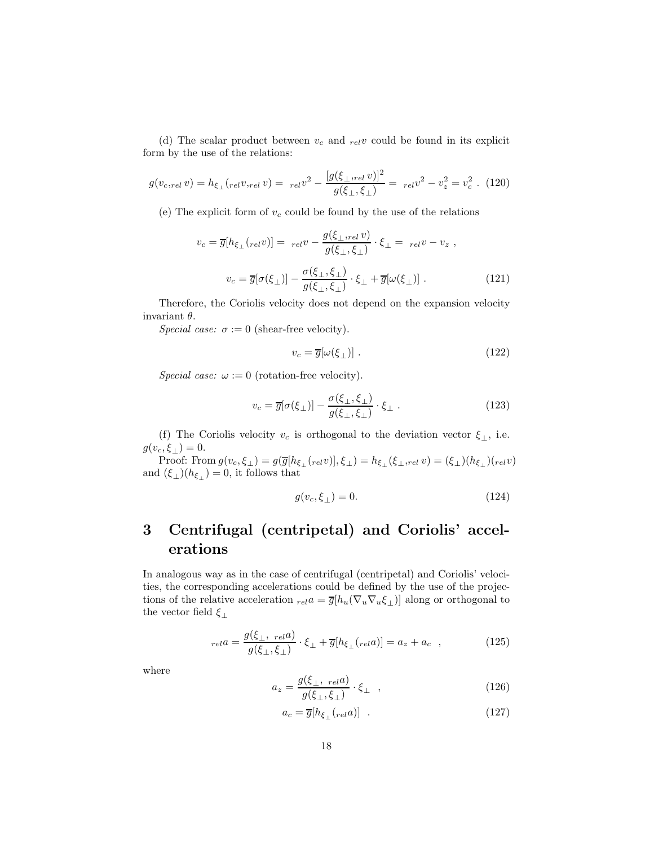(d) The scalar product between  $v_c$  and  $_{rel}v$  could be found in its explicit form by the use of the relations:

$$
g(v_{c,rel} v) = h_{\xi_{\perp}}(rel v,rel v) = \left[ \frac{g(\xi_{\perp},rel v)}{g(\xi_{\perp}, \xi_{\perp})} \right]^2 = \left[ \frac{rel v^2 - v_z^2}{v^2} = v_c^2 \right].
$$
 (120)

(e) The explicit form of  $v_c$  could be found by the use of the relations

$$
v_c = \overline{g}[h_{\xi_{\perp}}(relv)] = \underset{g(\xi_{\perp}, \xi_{\perp})}{\text{rel}} \cdot \xi_{\perp} = \underset{relv}{relv} - v_z ,
$$
\n
$$
v_c = \overline{g}[\sigma(\xi_{\perp})] - \frac{\sigma(\xi_{\perp}, \xi_{\perp})}{g(\xi_{\perp}, \xi_{\perp})} \cdot \xi_{\perp} + \overline{g}[\omega(\xi_{\perp})] . \tag{121}
$$

Therefore, the Coriolis velocity does not depend on the expansion velocity invariant  $\theta$ .

Special case:  $\sigma := 0$  (shear-free velocity).

$$
v_c = \overline{g}[\omega(\xi_\perp)] \tag{122}
$$

Special case:  $\omega := 0$  (rotation-free velocity).

$$
v_c = \overline{g}[\sigma(\xi_\perp)] - \frac{\sigma(\xi_\perp, \xi_\perp)}{g(\xi_\perp, \xi_\perp)} \cdot \xi_\perp.
$$
\n(123)

(f) The Coriolis velocity  $v_c$  is orthogonal to the deviation vector  $\xi_{\perp}$ , i.e.  $g(v_c, \xi_\perp) = 0.$ 

Proof: From  $g(v_c, \xi_\perp) = g(\overline{g}[h_{\xi_\perp}(_{rel}v)], \xi_\perp) = h_{\xi_\perp}(\xi_\perp,_{rel}v) = (\xi_\perp)(h_{\xi_\perp})(_{rel}v)$ and  $(\xi_{\perp})(h_{\xi_{\perp}})=0$ , it follows that

$$
g(v_c, \xi_\perp) = 0. \tag{124}
$$

# 3 Centrifugal (centripetal) and Coriolis' accelerations

In analogous way as in the case of centrifugal (centripetal) and Coriolis' velocities, the corresponding accelerations could be defined by the use of the projections of the relative acceleration  $_{rel}a = \overline{g}[h_u(\nabla_u \nabla_u \xi_\perp)]$  along or orthogonal to the vector field  $\xi_{\perp}$ 

$$
_{rel}a = \frac{g(\xi_{\perp}, \text{ }_{rel}a)}{g(\xi_{\perp}, \xi_{\perp})} \cdot \xi_{\perp} + \overline{g}[h_{\xi_{\perp}}(\text{ }_{rel}a)] = a_z + a_c \quad , \tag{125}
$$

where

$$
a_z = \frac{g(\xi_\perp, \text{rel}a)}{g(\xi_\perp, \xi_\perp)} \cdot \xi_\perp \quad , \tag{126}
$$

$$
a_c = \overline{g}[h_{\xi_{\perp}}(rel a)] \quad . \tag{127}
$$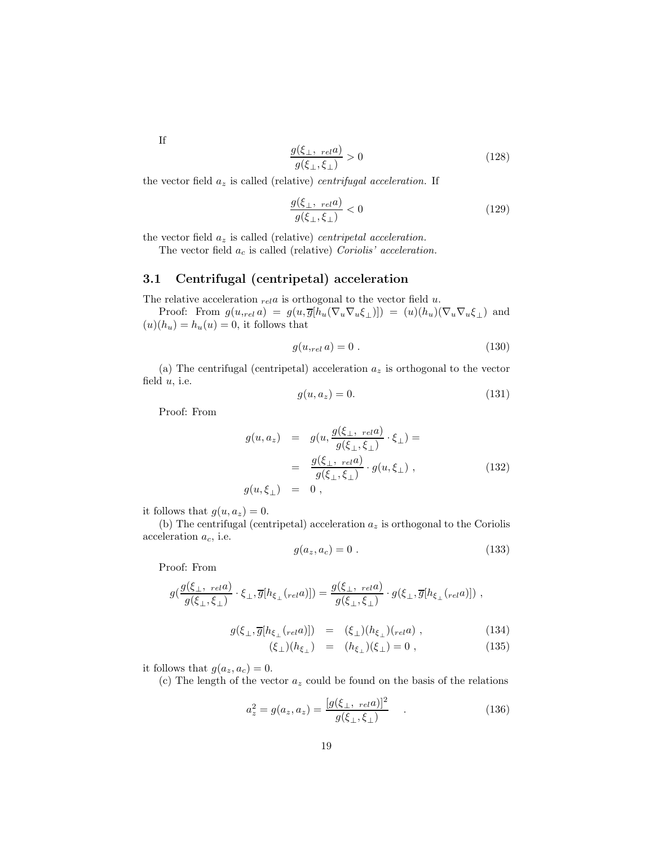$$
\frac{g(\xi_{\perp}, \text{rel}a)}{g(\xi_{\perp}, \xi_{\perp})} > 0 \tag{128}
$$

the vector field  $a_z$  is called (relative) *centrifugal acceleration*. If

$$
\frac{g(\xi_{\perp}, \text{rel}a)}{g(\xi_{\perp}, \xi_{\perp})} < 0 \tag{129}
$$

the vector field  $a_z$  is called (relative) *centripetal acceleration*.

The vector field  $a_c$  is called (relative) Coriolis' acceleration.

#### 3.1 Centrifugal (centripetal) acceleration

The relative acceleration  $_{rel}a$  is orthogonal to the vector field u.

Proof: From  $g(u_{rel} a) = g(u, \overline{g}[h_u(\nabla_u \nabla_u \xi_\perp)]) = (u)(h_u)(\nabla_u \nabla_u \xi_\perp)$  and  $(u)(h_u) = h_u(u) = 0$ , it follows that

$$
g(u,_{rel} a) = 0.
$$
\n
$$
(130)
$$

(a) The centrifugal (centripetal) acceleration  $a_z$  is orthogonal to the vector field  $u$ , i.e.

$$
g(u, a_z) = 0.\t\t(131)
$$

Proof: From

$$
g(u, a_z) = g(u, \frac{g(\xi_{\perp}, \text{rel}a)}{g(\xi_{\perp}, \xi_{\perp})} \cdot \xi_{\perp}) =
$$
  

$$
= \frac{g(\xi_{\perp}, \text{rel}a)}{g(\xi_{\perp}, \xi_{\perp})} \cdot g(u, \xi_{\perp}),
$$
  

$$
g(u, \xi_{\perp}) = 0,
$$
 (132)

it follows that  $g(u, a_z) = 0$ .

(b) The centrifugal (centripetal) acceleration  $a_z$  is orthogonal to the Coriolis acceleration  $a_c$ , i.e.

$$
g(a_z, a_c) = 0.
$$
 (133)

Proof: From

$$
g\left(\frac{g(\xi_{\perp},\;_{rel}a)}{g(\xi_{\perp},\xi_{\perp})}\cdot\xi_{\perp},\overline{g}[h_{\xi_{\perp}}(_{rel}a)]\right)=\frac{g(\xi_{\perp},\;_{rel}a)}{g(\xi_{\perp},\xi_{\perp})}\cdot g(\xi_{\perp},\overline{g}[h_{\xi_{\perp}}(_{rel}a)]),
$$

$$
g(\xi_{\perp}, \overline{g}[h_{\xi_{\perp}}(rela)]) = (\xi_{\perp})(h_{\xi_{\perp}})(rela) , \qquad (134)
$$

$$
(\xi_{\perp})(h_{\xi_{\perp}}) = (h_{\xi_{\perp}})(\xi_{\perp}) = 0 , \qquad (135)
$$

it follows that  $g(a_z, a_c) = 0$ .

(c) The length of the vector  $a_z$  could be found on the basis of the relations

$$
a_z^2 = g(a_z, a_z) = \frac{[g(\xi_{\perp}, \text{rel}a)]^2}{g(\xi_{\perp}, \xi_{\perp})} \quad . \tag{136}
$$

If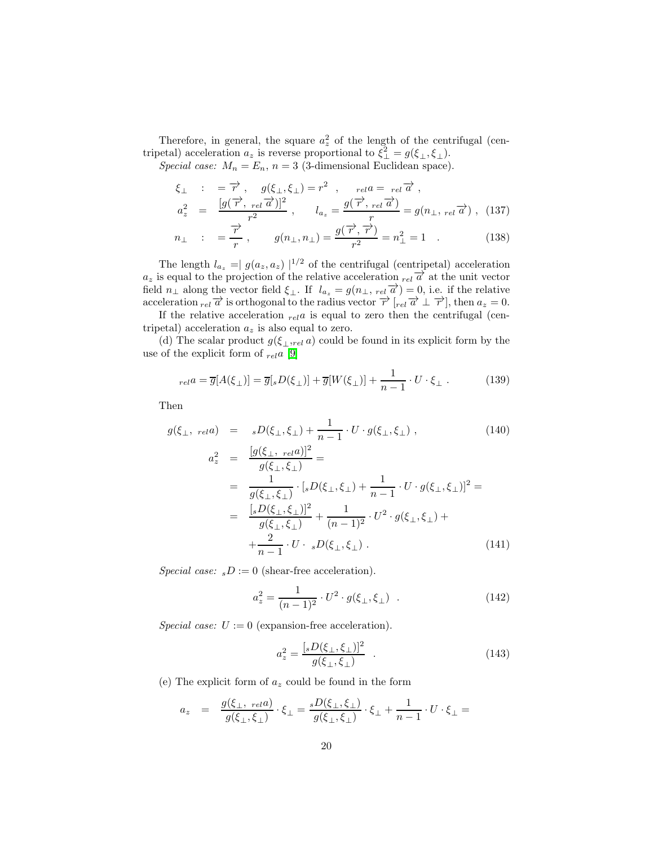Therefore, in general, the square  $a_z^2$  of the length of the centrifugal (centripetal) acceleration  $a_z$  is reverse proportional to  $\xi_{\perp}^2 = g(\xi_{\perp}, \xi_{\perp}).$ 

Special case:  $M_n = E_n$ ,  $n = 3$  (3-dimensional Euclidean space).

$$
\xi_{\perp} : = \overrightarrow{r}, \quad g(\xi_{\perp}, \xi_{\perp}) = r^2, \quad \text{rel } a = \text{rel } \overrightarrow{a},
$$
\n
$$
a_z^2 = \frac{[g(\overrightarrow{r}, \text{rel } \overrightarrow{a})]^2}{r^2}, \quad l_{a_z} = \frac{g(\overrightarrow{r}, \text{rel } \overrightarrow{a})}{r} = g(n_{\perp}, \text{rel } \overrightarrow{a}), \quad (137)
$$

$$
n_{\perp} : = \frac{\overrightarrow{r}}{r}, \qquad g(n_{\perp}, n_{\perp}) = \frac{g(\overrightarrow{r}, \overrightarrow{r})}{r^2} = n_{\perp}^2 = 1 . \qquad (138)
$$

The length  $l_{a_z} = |g(a_z, a_z)|^{1/2}$  of the centrifugal (centripetal) acceleration  $a_z$  is equal to the projection of the relative acceleration  $_{rel}\overrightarrow{a}$  at the unit vector field  $n_{\perp}$  along the vector field  $\xi_{\perp}$ . If  $l_{a_z} = g(n_{\perp}, \text{rel}_{\overline{a}}) = 0$ , i.e. if the relative acceleration  $rel_{rel} \vec{\alpha}$  is orthogonal to the radius vector  $\vec{r}$  [ $rel_{rel} \vec{\alpha} \perp \vec{r}$ ], then  $a_z = 0$ .

If the relative acceleration  $_{rel}a$  is equal to zero then the centrifugal (centripetal) acceleration  $a_z$  is also equal to zero.

(d) The scalar product  $g(\xi_{\perp,rel} a)$  could be found in its explicit form by the use of the explicit form of  $_{rel}a$  [\[9\]](#page-27-7)

$$
_{rel}a = \overline{g}[A(\xi_{\perp})] = \overline{g}[sD(\xi_{\perp})] + \overline{g}[W(\xi_{\perp})] + \frac{1}{n-1} \cdot U \cdot \xi_{\perp} . \tag{139}
$$

Then

$$
g(\xi_{\perp}, \; rela) = sD(\xi_{\perp}, \xi_{\perp}) + \frac{1}{n-1} \cdot U \cdot g(\xi_{\perp}, \xi_{\perp}),
$$
\n
$$
a_z^2 = \frac{[g(\xi_{\perp}, \; rela)]^2}{(z - \xi_{\perp})^2} =
$$
\n(140)

$$
\frac{d}{dz} = \frac{\frac{1}{g(\xi_{\perp}, \xi_{\perp})}}{g(\xi_{\perp}, \xi_{\perp})} =
$$
\n
$$
= \frac{1}{g(\xi_{\perp}, \xi_{\perp})} \cdot [sD(\xi_{\perp}, \xi_{\perp}) + \frac{1}{n-1} \cdot U \cdot g(\xi_{\perp}, \xi_{\perp})]^2 =
$$
\n
$$
= \frac{[sD(\xi_{\perp}, \xi_{\perp})]^2}{g(\xi_{\perp}, \xi_{\perp})} + \frac{1}{(n-1)^2} \cdot U^2 \cdot g(\xi_{\perp}, \xi_{\perp}) +
$$
\n
$$
+ \frac{2}{n-1} \cdot U \cdot sD(\xi_{\perp}, \xi_{\perp}). \tag{141}
$$

Special case:  $sD := 0$  (shear-free acceleration).

$$
a_z^2 = \frac{1}{(n-1)^2} \cdot U^2 \cdot g(\xi_\perp, \xi_\perp) \quad . \tag{142}
$$

Special case:  $U := 0$  (expansion-free acceleration).

$$
a_z^2 = \frac{[sD(\xi_\perp, \xi_\perp)]^2}{g(\xi_\perp, \xi_\perp)} \quad . \tag{143}
$$

(e) The explicit form of  $a_z$  could be found in the form

$$
a_z = \frac{g(\xi_{\perp}, \, \mathit{rela})}{g(\xi_{\perp}, \xi_{\perp})} \cdot \xi_{\perp} = \frac{sD(\xi_{\perp}, \xi_{\perp})}{g(\xi_{\perp}, \xi_{\perp})} \cdot \xi_{\perp} + \frac{1}{n-1} \cdot U \cdot \xi_{\perp} =
$$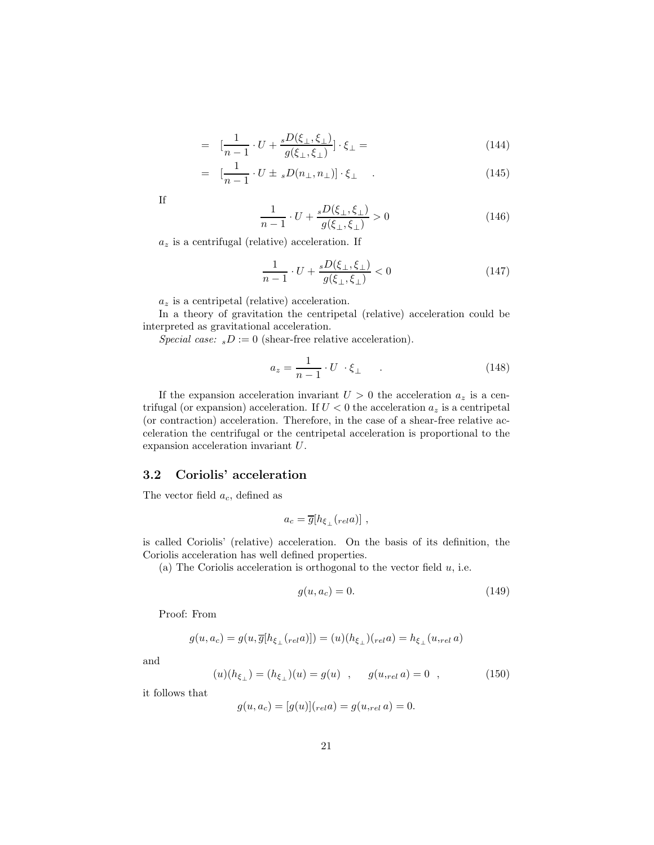$$
= \left[\frac{1}{n-1} \cdot U + \frac{sD(\xi_{\perp}, \xi_{\perp})}{g(\xi_{\perp}, \xi_{\perp})}\right] \cdot \xi_{\perp} = \tag{144}
$$

$$
= \left[ \frac{1}{n-1} \cdot U \pm \, _sD(n_\perp, n_\perp) \right] \cdot \xi_\perp \quad . \tag{145}
$$

If

$$
\frac{1}{n-1} \cdot U + \frac{sD(\xi_{\perp}, \xi_{\perp})}{g(\xi_{\perp}, \xi_{\perp})} > 0
$$
\n(146)

 $a_z$  is a centrifugal (relative) acceleration. If

$$
\frac{1}{n-1} \cdot U + \frac{sD(\xi_\perp, \xi_\perp)}{g(\xi_\perp, \xi_\perp)} < 0 \tag{147}
$$

 $a_z$  is a centripetal (relative) acceleration.

In a theory of gravitation the centripetal (relative) acceleration could be interpreted as gravitational acceleration.

Special case:  $sD := 0$  (shear-free relative acceleration).

$$
a_z = \frac{1}{n-1} \cdot U \cdot \xi_{\perp} \tag{148}
$$

If the expansion acceleration invariant  $U > 0$  the acceleration  $a_z$  is a centrifugal (or expansion) acceleration. If  $U < 0$  the acceleration  $a_z$  is a centripetal (or contraction) acceleration. Therefore, in the case of a shear-free relative acceleration the centrifugal or the centripetal acceleration is proportional to the expansion acceleration invariant U.

#### 3.2 Coriolis' acceleration

The vector field  $a_c$ , defined as

$$
a_c = \overline{g}[h_{\xi_\perp}({}_{rel}a)]\ ,
$$

is called Coriolis' (relative) acceleration. On the basis of its definition, the Coriolis acceleration has well defined properties.

(a) The Coriolis acceleration is orthogonal to the vector field  $u$ , i.e.

$$
g(u, a_c) = 0.\t\t(149)
$$

Proof: From

$$
g(u,a_c) = g(u,\overline{g}[h_{\xi_\perp}(_{rel}a)]) = (u)(h_{\xi_\perp})(_{rel}a) = h_{\xi_\perp}(u,_{rel}a)
$$

and

$$
(u)(h_{\xi_{\perp}}) = (h_{\xi_{\perp}})(u) = g(u) \quad , \qquad g(u_{rel} \ a) = 0 \quad , \tag{150}
$$

it follows that

$$
g(u, a_c) = [g(u)]_{rel} a) = g(u,_{rel} a) = 0.
$$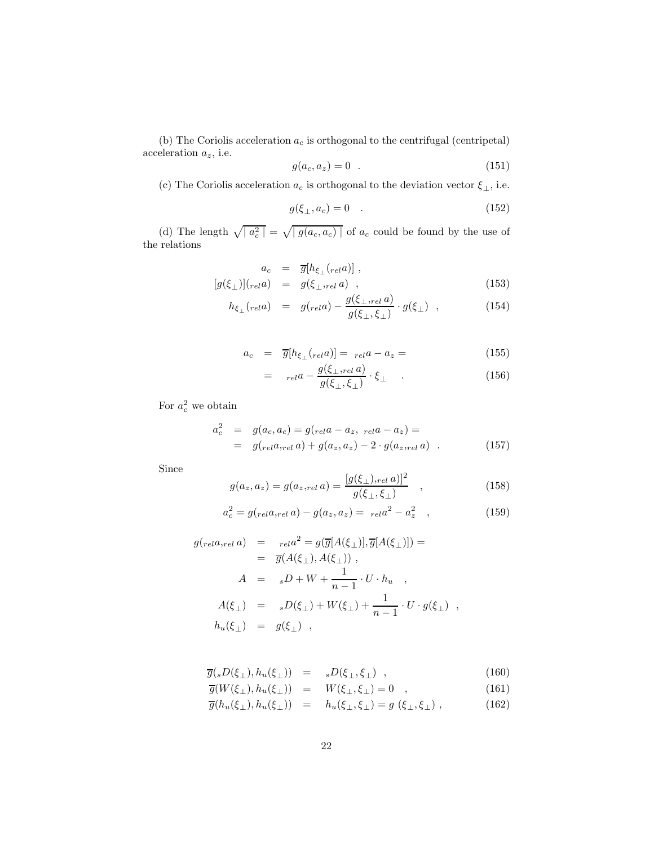(b) The Coriolis acceleration  $\boldsymbol{a}_c$  is orthogonal to the centrifugal (centripetal) acceleration  $a_z$ , i.e.

$$
g(a_c, a_z) = 0 \t . \t (151)
$$

(c) The Coriolis acceleration  $a_c$  is orthogonal to the deviation vector  $\xi_\perp,$  i.e.

$$
g(\xi_{\perp}, a_c) = 0 \quad . \tag{152}
$$

(d) The length  $\sqrt{a_c^2} = \sqrt{g(a_c, a_c)}$  of  $a_c$  could be found by the use of the relations

$$
a_c = \overline{g}[h_{\xi_{\perp}}(rela)],[g(\xi_{\perp})](rela) = g(\xi_{\perp},rela),
$$
\n(153)

$$
h_{\xi_{\perp}}(rela) = g_{\text{rel}}(a) - \frac{g(\xi_{\perp},rela)}{g(\xi_{\perp},\xi_{\perp})} \cdot g(\xi_{\perp}) \quad , \tag{154}
$$

$$
a_c = \overline{g}[h_{\xi_{\perp}}(rela)] = rela - a_z = \tag{155}
$$

$$
= \t_{rel}a - \frac{g(\xi_{\perp},rel}a)}{g(\xi_{\perp},\xi_{\perp})} \cdot \xi_{\perp} \tquad . \t(156)
$$

For  $a_c^2$  we obtain

$$
a_c^2 = g(a_c, a_c) = g(r_{el}a - a_z, \, r_{el}a - a_z) =
$$
  
=  $g(r_{el}a_{,rel}a) + g(a_z, a_z) - 2 \cdot g(a_z, r_{el}a)$  . (157)

Since

$$
g(a_z, a_z) = g(a_{z,rel} a) = \frac{[g(\xi_{\perp}),_{rel} a)]^2}{g(\xi_{\perp}, \xi_{\perp})} , \qquad (158)
$$

$$
a_c^2 = g(r_{el}a_{rel}a) - g(a_z, a_z) = r_{el}a^2 - a_z^2 \quad , \tag{159}
$$

$$
g_{\text{(rel}}a_{\text{rel}}a) = \frac{1}{\sigma(\overline{a})} a^2 = g(\overline{g}[A(\xi_{\perp})], \overline{g}[A(\xi_{\perp})]) =
$$
  
\n
$$
= \overline{g}(A(\xi_{\perp}), A(\xi_{\perp})) ,
$$
  
\n
$$
A = {}_{s}D + W + \frac{1}{n-1} \cdot U \cdot h_u ,
$$
  
\n
$$
A(\xi_{\perp}) = {}_{s}D(\xi_{\perp}) + W(\xi_{\perp}) + \frac{1}{n-1} \cdot U \cdot g(\xi_{\perp}) ,
$$
  
\n
$$
h_u(\xi_{\perp}) = g(\xi_{\perp}) ,
$$

$$
\overline{g}(sD(\xi_{\perp}), h_u(\xi_{\perp})) = sD(\xi_{\perp}, \xi_{\perp}) , \qquad (160)
$$

$$
\overline{g}(W(\xi_{\perp}), h_u(\xi_{\perp})) = W(\xi_{\perp}, \xi_{\perp}) = 0 \quad , \tag{161}
$$

 $\overline{g}(h_u(\xi_{\perp}), h_u(\xi_{\perp})) = h_u(\xi_{\perp}, \xi_{\perp}) = g(\xi_{\perp}, \xi_{\perp}),$ (162)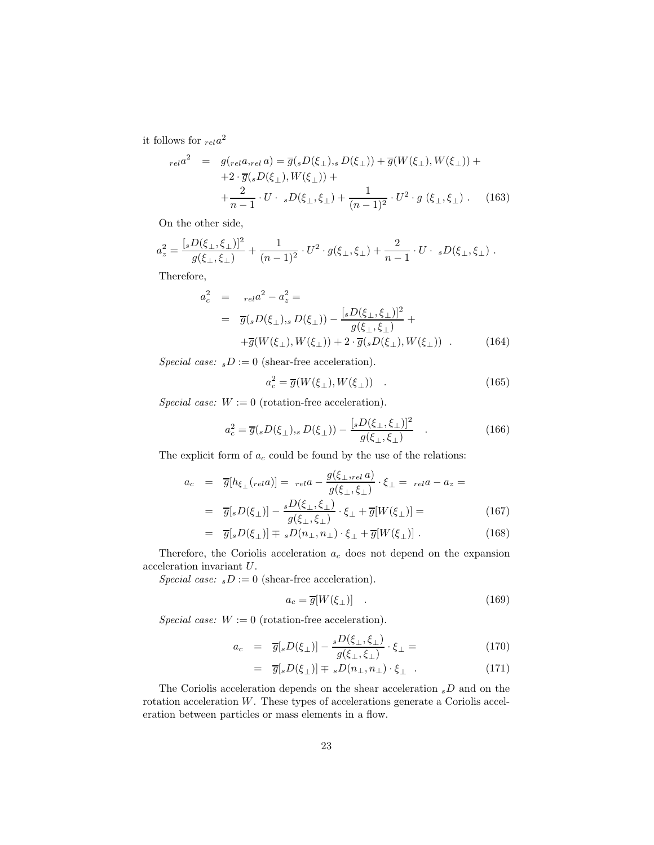it follows for  $_{rel}a^2$ 

$$
_{rel}a^2 = g(_{rel}a,_{rel}a) = \overline{g}(sD(\xi_{\perp}), sD(\xi_{\perp})) + \overline{g}(W(\xi_{\perp}), W(\xi_{\perp})) ++ 2 \cdot \overline{g}(sD(\xi_{\perp}), W(\xi_{\perp})) + + \frac{2}{n-1} \cdot U \cdot {}_sD(\xi_{\perp}, \xi_{\perp}) + \frac{1}{(n-1)^2} \cdot U^2 \cdot g(\xi_{\perp}, \xi_{\perp}) . \tag{163}
$$

On the other side,

$$
a_z^2 = \frac{[sD(\xi_\perp,\xi_\perp)]^2}{g(\xi_\perp,\xi_\perp)} + \frac{1}{(n-1)^2} \cdot U^2 \cdot g(\xi_\perp,\xi_\perp) + \frac{2}{n-1} \cdot U \cdot \; {}_sD(\xi_\perp,\xi_\perp) \ .
$$

Therefore,

$$
a_c^2 = r_{el}a^2 - a_z^2 =
$$
  
=  $\overline{g(sD(\xi_{\perp}), sD(\xi_{\perp}))} - \frac{[sD(\xi_{\perp}, \xi_{\perp})]^2}{g(\xi_{\perp}, \xi_{\perp})} +$   
+ $\overline{g(W(\xi_{\perp}), W(\xi_{\perp}))} + 2 \cdot \overline{g(sD(\xi_{\perp}), W(\xi_{\perp}))}$  (164)

Special case:  $sD := 0$  (shear-free acceleration).

$$
a_c^2 = \overline{g}(W(\xi_\perp), W(\xi_\perp)) \quad . \tag{165}
$$

Special case:  $W := 0$  (rotation-free acceleration).

$$
a_c^2 = \overline{g}(sD(\xi_\perp), sD(\xi_\perp)) - \frac{[sD(\xi_\perp, \xi_\perp)]^2}{g(\xi_\perp, \xi_\perp)} \quad . \tag{166}
$$

The explicit form of  $a_c$  could be found by the use of the relations:

$$
a_c = \overline{g}[h_{\xi_{\perp}}(rela)] = rela - \frac{g(\xi_{\perp},rela)}{g(\xi_{\perp},\xi_{\perp})} \cdot \xi_{\perp} = rela - a_z =
$$

$$
= \overline{g}[sD(\xi_{\perp})] - \frac{sD(\xi_{\perp},\xi_{\perp})}{g(\xi_{\perp},\xi_{\perp})} \cdot \xi_{\perp} + \overline{g}[W(\xi_{\perp})] =
$$
(167)

$$
= \overline{g}[sD(\xi_{\perp})] \mp sD(n_{\perp}, n_{\perp}) \cdot \xi_{\perp} + \overline{g}[W(\xi_{\perp})] . \qquad (168)
$$

Therefore, the Coriolis acceleration  $a_c$  does not depend on the expansion acceleration invariant U.

Special case:  $sD := 0$  (shear-free acceleration).

$$
a_c = \overline{g}[W(\xi_\perp)] \quad . \tag{169}
$$

Special case:  $W := 0$  (rotation-free acceleration).

$$
a_c = \overline{g}[sD(\xi_\perp)] - \frac{sD(\xi_\perp, \xi_\perp)}{g(\xi_\perp, \xi_\perp)} \cdot \xi_\perp = \tag{170}
$$

$$
= \overline{g}[sD(\xi_{\perp})] \mp sD(n_{\perp}, n_{\perp}) \cdot \xi_{\perp} . \qquad (171)
$$

The Coriolis acceleration depends on the shear acceleration  $sD$  and on the rotation acceleration W. These types of accelerations generate a Coriolis acceleration between particles or mass elements in a flow.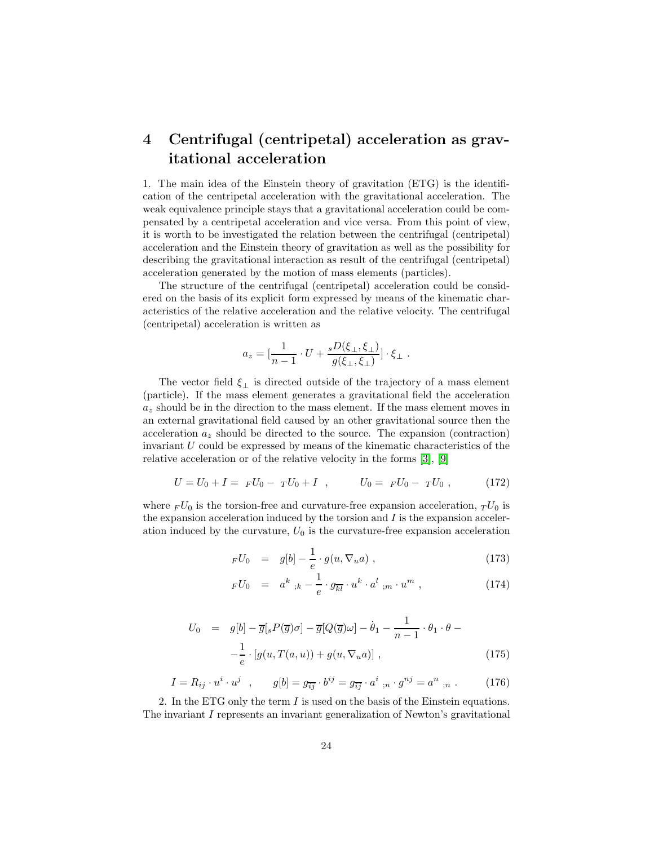# 4 Centrifugal (centripetal) acceleration as gravitational acceleration

1. The main idea of the Einstein theory of gravitation (ETG) is the identification of the centripetal acceleration with the gravitational acceleration. The weak equivalence principle stays that a gravitational acceleration could be compensated by a centripetal acceleration and vice versa. From this point of view, it is worth to be investigated the relation between the centrifugal (centripetal) acceleration and the Einstein theory of gravitation as well as the possibility for describing the gravitational interaction as result of the centrifugal (centripetal) acceleration generated by the motion of mass elements (particles).

The structure of the centrifugal (centripetal) acceleration could be considered on the basis of its explicit form expressed by means of the kinematic characteristics of the relative acceleration and the relative velocity. The centrifugal (centripetal) acceleration is written as

$$
a_z = \left[\frac{1}{n-1} \cdot U + \frac{{}_s D(\xi_\perp, \xi_\perp)}{g(\xi_\perp, \xi_\perp)}\right] \cdot \xi_\perp.
$$

The vector field  $\xi_{\perp}$  is directed outside of the trajectory of a mass element (particle). If the mass element generates a gravitational field the acceleration  $a<sub>z</sub>$  should be in the direction to the mass element. If the mass element moves in an external gravitational field caused by an other gravitational source then the acceleration  $a_z$  should be directed to the source. The expansion (contraction) invariant  $U$  could be expressed by means of the kinematic characteristics of the relative acceleration or of the relative velocity in the forms [\[3\]](#page-27-9), [\[9\]](#page-27-7)

$$
U = U_0 + I = F U_0 - T U_0 + I , \qquad U_0 = F U_0 - T U_0 , \qquad (172)
$$

where  $_F U_0$  is the torsion-free and curvature-free expansion acceleration,  $_T U_0$  is the expansion acceleration induced by the torsion and  $I$  is the expansion acceleration induced by the curvature,  $U_0$  is the curvature-free expansion acceleration

$$
_FU_0 = g[b] - \frac{1}{e} \cdot g(u, \nabla_u a) , \qquad (173)
$$

$$
FU_0 = a^k_{\ ;k} - \frac{1}{e} \cdot g_{\overline{k}l} \cdot u^k \cdot a^l_{\ ;m} \cdot u^m , \qquad (174)
$$

$$
U_0 = g[b] - \overline{g}[sP(\overline{g})\sigma] - \overline{g}[Q(\overline{g})\omega] - \dot{\theta}_1 - \frac{1}{n-1} \cdot \theta_1 \cdot \theta -
$$

$$
-\frac{1}{e} \cdot [g(u, T(a, u)) + g(u, \nabla_u a)], \qquad (175)
$$

$$
I = R_{ij} \cdot u^i \cdot u^j \quad , \qquad g[b] = g_{\overline{ij}} \cdot b^{ij} = g_{\overline{ij}} \cdot a^i \, , \qquad g^{nj} = a^n \, , \qquad (176)
$$

2. In the ETG only the term I is used on the basis of the Einstein equations. The invariant I represents an invariant generalization of Newton's gravitational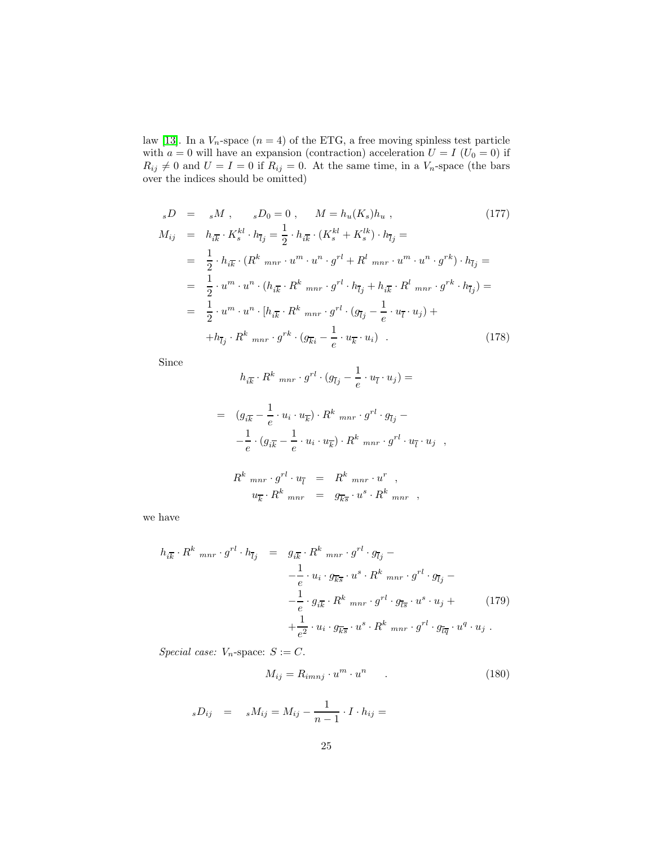law [\[13\]](#page-28-2). In a  $V_n$ -space  $(n = 4)$  of the ETG, a free moving spinless test particle with  $a = 0$  will have an expansion (contraction) acceleration  $U = I (U_0 = 0)$  if  $R_{ij} \neq 0$  and  $U = I = 0$  if  $R_{ij} = 0$ . At the same time, in a  $V_n$ -space (the bars over the indices should be omitted)

$$
{}_{s}D = {}_{s}M , {}_{s}D_{0} = 0 , M = h_{u}(K_{s})h_{u} , \qquad (177)
$$
  
\n
$$
M_{ij} = h_{i\overline{k}} \cdot K_{s}^{kl} \cdot h_{\overline{l}j} = \frac{1}{2} \cdot h_{i\overline{k}} \cdot (K_{s}^{kl} + K_{s}^{lk}) \cdot h_{\overline{l}j} =
$$
  
\n
$$
= \frac{1}{2} \cdot h_{i\overline{k}} \cdot (R^{k} {}_{mnr} \cdot u^{m} \cdot u^{n} \cdot g^{rl} + R^{l} {}_{mnr} \cdot u^{m} \cdot u^{n} \cdot g^{rk}) \cdot h_{\overline{l}j} =
$$
  
\n
$$
= \frac{1}{2} \cdot u^{m} \cdot u^{n} \cdot (h_{i\overline{k}} \cdot R^{k} {}_{mnr} \cdot g^{rl} \cdot h_{\overline{l}j} + h_{i\overline{k}} \cdot R^{l} {}_{mnr} \cdot g^{rk} \cdot h_{\overline{l}j}) =
$$
  
\n
$$
= \frac{1}{2} \cdot u^{m} \cdot u^{n} \cdot [h_{i\overline{k}} \cdot R^{k} {}_{mnr} \cdot g^{rl} \cdot (g_{\overline{l}j} - \frac{1}{e} \cdot u_{\overline{l}} \cdot u_{j}) +
$$
  
\n
$$
+ h_{\overline{l}j} \cdot R^{k} {}_{mnr} \cdot g^{rk} \cdot (g_{\overline{k}i} - \frac{1}{e} \cdot u_{\overline{k}} \cdot u_{i}) . \qquad (178)
$$

Since

$$
h_{i\overline{k}}\cdot R^k\,\,{}_{mnr}\cdot g^{rl}\cdot (g_{\overline{l}j}-\frac{1}{e}\cdot u_{\overline{l}}\cdot u_j)=
$$

$$
= (g_{i\overline{k}} - \frac{1}{e} \cdot u_i \cdot u_{\overline{k}}) \cdot R^k \, \text{mnr} \cdot g^{rl} \cdot g_{\overline{l}j} -
$$

$$
- \frac{1}{e} \cdot (g_{i\overline{k}} - \frac{1}{e} \cdot u_i \cdot u_{\overline{k}}) \cdot R^k \, \text{mnr} \cdot g^{rl} \cdot u_{\overline{l}} \cdot u_j ,
$$

$$
R^k \max_{mnr} \cdot g^{rl} \cdot u_{\overline{l}} = R^k \max_{mnr} \cdot u^r ,
$$
  

$$
u_{\overline{k}} \cdot R^k \max_{mnr} = g_{\overline{k}\overline{s}} \cdot u^s \cdot R^k \max ,
$$

we have

$$
h_{i\overline{k}} \cdot R^k \max g^{rl} \cdot h_{\overline{l}j} = g_{i\overline{k}} \cdot R^k \max g^{rl} \cdot g_{\overline{l}j} -
$$
  

$$
- \frac{1}{e} \cdot u_i \cdot g_{\overline{k}s} \cdot u^s \cdot R^k \max g^{rl} \cdot g_{\overline{l}j} -
$$
  

$$
- \frac{1}{e} \cdot g_{i\overline{k}} \cdot R^k \max g^{rl} \cdot g_{\overline{l}s} \cdot u^s \cdot u_j +
$$
  

$$
+ \frac{1}{e^2} \cdot u_i \cdot g_{\overline{k}s} \cdot u^s \cdot R^k \max g^{rl} \cdot g_{\overline{l}q} \cdot u^q \cdot u_j .
$$
 (179)

Special case:  $V_n$ -space:  $S := C$ .

$$
M_{ij} = R_{imnj} \cdot u^m \cdot u^n \tag{180}
$$

$$
_sD_{ij} = _sM_{ij} = M_{ij} - \frac{1}{n-1} \cdot I \cdot h_{ij} =
$$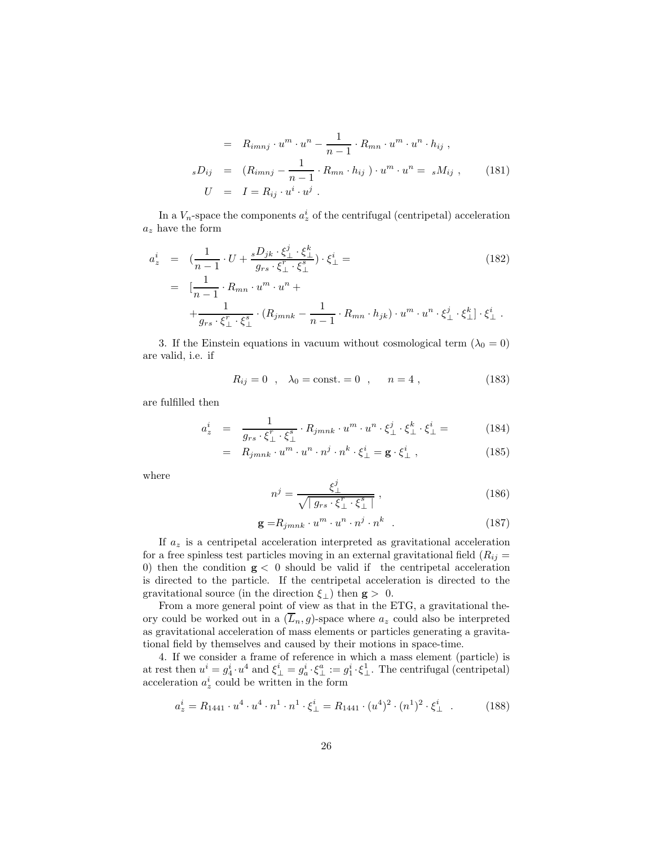$$
= R_{imnj} \cdot u^m \cdot u^n - \frac{1}{n-1} \cdot R_{mn} \cdot u^m \cdot u^n \cdot h_{ij} ,
$$
  
\n
$$
sD_{ij} = (R_{imnj} - \frac{1}{n-1} \cdot R_{mn} \cdot h_{ij}) \cdot u^m \cdot u^n = sM_{ij} , \qquad (181)
$$
  
\n
$$
U = I = R_{ij} \cdot u^i \cdot u^j .
$$

In a  $V_n$ -space the components  $a^i_z$  of the centrifugal (centripetal) acceleration  $a_z$  have the form

$$
a_z^i = \left(\frac{1}{n-1} \cdot U + \frac{{}_s D_{jk} \cdot \xi_\perp^j \cdot \xi_\perp^k}{g_{rs} \cdot \xi_\perp^r \cdot \xi_\perp^s} \right) \cdot \xi_\perp^i =
$$
\n
$$
= \left[ \frac{1}{n-1} \cdot R_{mn} \cdot u^m \cdot u^n + \right. \\
\left. + \frac{1}{g_{rs} \cdot \xi_\perp^r \cdot \xi_\perp^s} \cdot (R_{jmnk} - \frac{1}{n-1} \cdot R_{mn} \cdot h_{jk}) \cdot u^m \cdot u^n \cdot \xi_\perp^j \cdot \xi_\perp^k \right] \cdot \xi_\perp^i.
$$
\n(182)

3. If the Einstein equations in vacuum without cosmological term  $(\lambda_0 = 0)$ are valid, i.e. if

$$
R_{ij} = 0
$$
,  $\lambda_0 = \text{const.} = 0$ ,  $n = 4$ , (183)

are fulfilled then

$$
a_z^i = \frac{1}{g_{rs} \cdot \xi_\perp^r \cdot \xi_\perp^s} \cdot R_{jmnk} \cdot u^m \cdot u^n \cdot \xi_\perp^j \cdot \xi_\perp^k \cdot \xi_\perp^i = (184)
$$

$$
= R_{jmnk} \cdot u^m \cdot u^n \cdot n^j \cdot n^k \cdot \xi_{\perp}^i = \mathbf{g} \cdot \xi_{\perp}^i , \qquad (185)
$$

where

$$
n^j = \frac{\xi_\perp^j}{\sqrt{\left|g_{rs} \cdot \xi_\perp^r \cdot \xi_\perp^s\right|}}\,,\tag{186}
$$

$$
\mathbf{g} = R_{jmnk} \cdot u^m \cdot u^n \cdot n^j \cdot n^k \quad . \tag{187}
$$

If  $a_z$  is a centripetal acceleration interpreted as gravitational acceleration for a free spinless test particles moving in an external gravitational field  $(R_{ij} =$ 0) then the condition  $g < 0$  should be valid if the centripetal acceleration is directed to the particle. If the centripetal acceleration is directed to the gravitational source (in the direction  $\xi_{\perp}$ ) then  $\mathbf{g} > 0$ .

From a more general point of view as that in the ETG, a gravitational theory could be worked out in a  $(\overline{L}_n, g)$ -space where  $a_z$  could also be interpreted as gravitational acceleration of mass elements or particles generating a gravitational field by themselves and caused by their motions in space-time.

4. If we consider a frame of reference in which a mass element (particle) is at rest then  $u^i = g_4^i \cdot u^4$  and  $\xi_{\perp}^i = g_a^i \cdot \xi_{\perp}^a := g_1^i \cdot \xi_{\perp}^1$ . The centrifugal (centripetal) acceleration  $a_z^i$  could be written in the form

$$
a_z^i = R_{1441} \cdot u^4 \cdot u^4 \cdot n^1 \cdot n^1 \cdot \xi_{\perp}^i = R_{1441} \cdot (u^4)^2 \cdot (n^1)^2 \cdot \xi_{\perp}^i \quad . \tag{188}
$$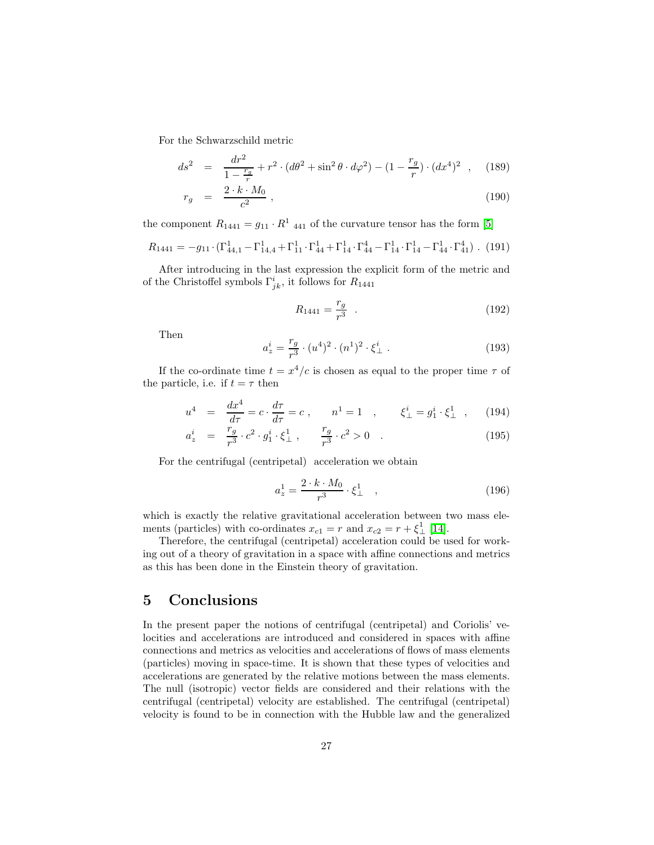For the Schwarzschild metric

$$
ds^{2} = \frac{dr^{2}}{1 - \frac{r_{g}}{r}} + r^{2} \cdot (d\theta^{2} + \sin^{2} \theta \cdot d\varphi^{2}) - (1 - \frac{r_{g}}{r}) \cdot (dx^{4})^{2} , \quad (189)
$$

$$
r_g = \frac{2 \cdot k \cdot M_0}{c^2} \,, \tag{190}
$$

the component  $R_{1441} = g_{11} \cdot R^1$  and  $q_1$  of the curvature tensor has the form [\[5\]](#page-27-2)

$$
R_{1441} = -g_{11} \cdot (\Gamma_{44,1}^1 - \Gamma_{14,4}^1 + \Gamma_{11}^1 \cdot \Gamma_{44}^1 + \Gamma_{14}^1 \cdot \Gamma_{44}^4 - \Gamma_{14}^1 \cdot \Gamma_{14}^1 - \Gamma_{44}^1 \cdot \Gamma_{41}^4).
$$
 (191)

After introducing in the last expression the explicit form of the metric and of the Christoffel symbols  $\Gamma_{jk}^i$ , it follows for  $R_{1441}$ 

$$
R_{1441} = \frac{r_g}{r^3} \quad . \tag{192}
$$

Then

$$
a_z^i = \frac{r_g}{r^3} \cdot (u^4)^2 \cdot (n^1)^2 \cdot \xi_\perp^i \tag{193}
$$

If the co-ordinate time  $t = x^4/c$  is chosen as equal to the proper time  $\tau$  of the particle, i.e. if  $t = \tau$  then

$$
u^{4} = \frac{dx^{4}}{d\tau} = c \cdot \frac{d\tau}{d\tau} = c , \qquad n^{1} = 1 , \qquad \xi_{\perp}^{i} = g_{1}^{i} \cdot \xi_{\perp}^{1} , \qquad (194)
$$

$$
a_z^i = \frac{r_g}{r^3} \cdot c^2 \cdot g_1^i \cdot \xi_\perp^1 , \qquad \frac{r_g}{r^3} \cdot c^2 > 0 . \tag{195}
$$

For the centrifugal (centripetal) acceleration we obtain

$$
a_z^1 = \frac{2 \cdot k \cdot M_0}{r^3} \cdot \xi_\perp^1 \quad , \tag{196}
$$

which is exactly the relative gravitational acceleration between two mass elements (particles) with co-ordinates  $x_{c1} = r$  and  $x_{c2} = r + \xi_{\perp}^{1}$  [\[14\]](#page-28-3).

Therefore, the centrifugal (centripetal) acceleration could be used for working out of a theory of gravitation in a space with affine connections and metrics as this has been done in the Einstein theory of gravitation.

### 5 Conclusions

In the present paper the notions of centrifugal (centripetal) and Coriolis' velocities and accelerations are introduced and considered in spaces with affine connections and metrics as velocities and accelerations of flows of mass elements (particles) moving in space-time. It is shown that these types of velocities and accelerations are generated by the relative motions between the mass elements. The null (isotropic) vector fields are considered and their relations with the centrifugal (centripetal) velocity are established. The centrifugal (centripetal) velocity is found to be in connection with the Hubble law and the generalized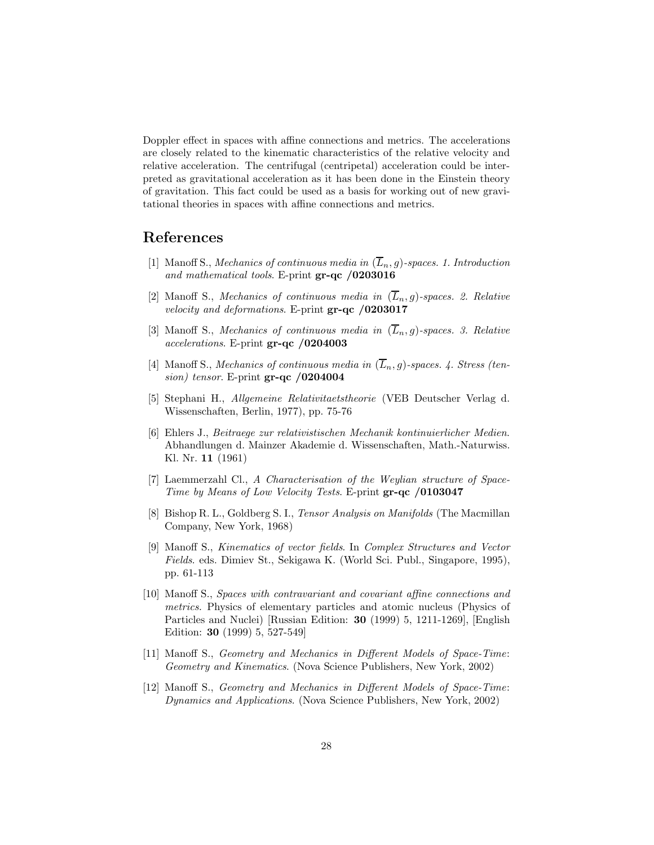Doppler effect in spaces with affine connections and metrics. The accelerations are closely related to the kinematic characteristics of the relative velocity and relative acceleration. The centrifugal (centripetal) acceleration could be interpreted as gravitational acceleration as it has been done in the Einstein theory of gravitation. This fact could be used as a basis for working out of new gravitational theories in spaces with affine connections and metrics.

### <span id="page-27-0"></span>References

- [1] Manoff S., Mechanics of continuous media in  $(\overline{L}_n, g)$ -spaces. 1. Introduction and mathematical tools. E-print gr-qc /0203016
- [2] Manoff S., Mechanics of continuous media in  $(\overline{L}_n, g)$ -spaces. 2. Relative velocity and deformations. E-print gr-qc /0203017
- <span id="page-27-9"></span>[3] Manoff S., Mechanics of continuous media in  $(\overline{L}_n, g)$ -spaces. 3. Relative accelerations. E-print gr-qc /0204003
- <span id="page-27-1"></span>[4] Manoff S., Mechanics of continuous media in  $(\overline{L}_n, g)$ -spaces. 4. Stress (tension) tensor. E-print  $gr-qc/0204004$
- <span id="page-27-2"></span>[5] Stephani H., Allgemeine Relativitaetstheorie (VEB Deutscher Verlag d. Wissenschaften, Berlin, 1977), pp. 75-76
- <span id="page-27-3"></span>[6] Ehlers J., Beitraege zur relativistischen Mechanik kontinuierlicher Medien. Abhandlungen d. Mainzer Akademie d. Wissenschaften, Math.-Naturwiss. Kl. Nr. 11 (1961)
- <span id="page-27-5"></span><span id="page-27-4"></span>[7] Laemmerzahl Cl., A Characterisation of the Weylian structure of Space-Time by Means of Low Velocity Tests. E-print gr-qc /0103047
- [8] Bishop R. L., Goldberg S. I., Tensor Analysis on Manifolds (The Macmillan Company, New York, 1968)
- <span id="page-27-7"></span>[9] Manoff S., Kinematics of vector fields. In Complex Structures and Vector Fields. eds. Dimiev St., Sekigawa K. (World Sci. Publ., Singapore, 1995), pp. 61-113
- [10] Manoff S., Spaces with contravariant and covariant affine connections and metrics. Physics of elementary particles and atomic nucleus (Physics of Particles and Nuclei) [Russian Edition: 30 (1999) 5, 1211-1269], [English Edition: 30 (1999) 5, 527-549]
- <span id="page-27-8"></span>[11] Manoff S., Geometry and Mechanics in Different Models of Space-Time: Geometry and Kinematics. (Nova Science Publishers, New York, 2002)
- <span id="page-27-6"></span>[12] Manoff S., Geometry and Mechanics in Different Models of Space-Time: Dynamics and Applications. (Nova Science Publishers, New York, 2002)